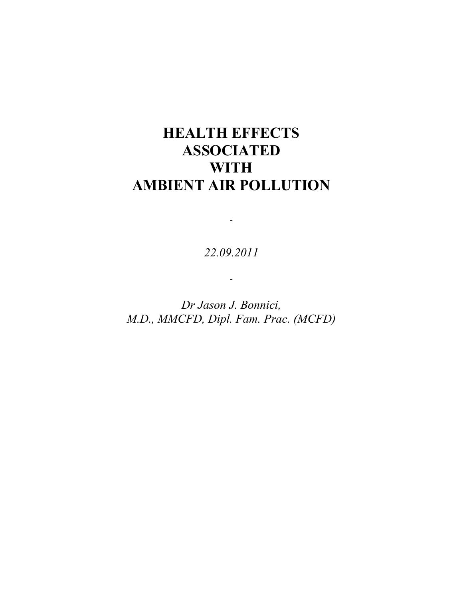# **HEALTH EFFECTS ASSOCIATED WITH AMBIENT AIR POLLUTION**

*22.09.2011*

-

-

*Dr Jason J. Bonnici, M.D., MMCFD, Dipl. Fam. Prac. (MCFD)*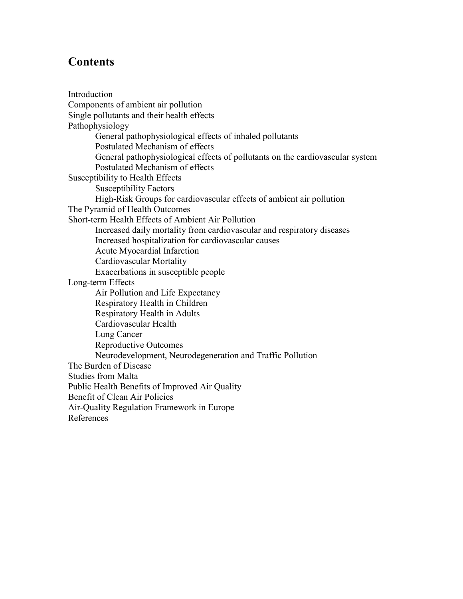## **Contents**

Introduction Components of ambient air pollution Single pollutants and their health effects Pathophysiology General pathophysiological effects of inhaled pollutants Postulated Mechanism of effects General pathophysiological effects of pollutants on the cardiovascular system Postulated Mechanism of effects Susceptibility to Health Effects Susceptibility Factors High-Risk Groups for cardiovascular effects of ambient air pollution The Pyramid of Health Outcomes Short-term Health Effects of Ambient Air Pollution Increased daily mortality from cardiovascular and respiratory diseases Increased hospitalization for cardiovascular causes Acute Myocardial Infarction Cardiovascular Mortality Exacerbations in susceptible people Long-term Effects Air Pollution and Life Expectancy Respiratory Health in Children Respiratory Health in Adults Cardiovascular Health Lung Cancer Reproductive Outcomes Neurodevelopment, Neurodegeneration and Traffic Pollution The Burden of Disease Studies from Malta Public Health Benefits of Improved Air Quality Benefit of Clean Air Policies Air-Quality Regulation Framework in Europe References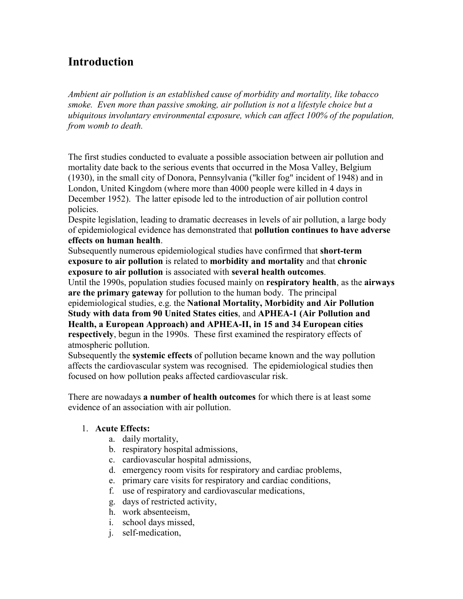## **Introduction**

*Ambient air pollution is an established cause of morbidity and mortality, like tobacco smoke. Even more than passive smoking, air pollution is not a lifestyle choice but a ubiquitous involuntary environmental exposure, which can affect 100% of the population, from womb to death.* 

The first studies conducted to evaluate a possible association between air pollution and mortality date back to the serious events that occurred in the Mosa Valley, Belgium (1930), in the small city of Donora, Pennsylvania ("killer fog" incident of 1948) and in London, United Kingdom (where more than 4000 people were killed in 4 days in December 1952). The latter episode led to the introduction of air pollution control policies.

Despite legislation, leading to dramatic decreases in levels of air pollution, a large body of epidemiological evidence has demonstrated that **pollution continues to have adverse effects on human health**.

Subsequently numerous epidemiological studies have confirmed that **short-term exposure to air pollution** is related to **morbidity and mortality** and that **chronic exposure to air pollution** is associated with **several health outcomes**.

Until the 1990s, population studies focused mainly on **respiratory health**, as the **airways are the primary gateway** for pollution to the human body. The principal

epidemiological studies, e.g. the **National Mortality, Morbidity and Air Pollution Study with data from 90 United States cities**, and **APHEA-1 (Air Pollution and Health, a European Approach) and APHEA-II, in 15 and 34 European cities respectively**, begun in the 1990s. These first examined the respiratory effects of atmospheric pollution.

Subsequently the **systemic effects** of pollution became known and the way pollution affects the cardiovascular system was recognised. The epidemiological studies then focused on how pollution peaks affected cardiovascular risk.

There are nowadays **a number of health outcomes** for which there is at least some evidence of an association with air pollution.

## 1. **Acute Effects:**

- a. daily mortality,
- b. respiratory hospital admissions,
- c. cardiovascular hospital admissions,
- d. emergency room visits for respiratory and cardiac problems,
- e. primary care visits for respiratory and cardiac conditions,
- f. use of respiratory and cardiovascular medications,
- g. days of restricted activity,
- h. work absenteeism,
- i. school days missed,
- j. self-medication,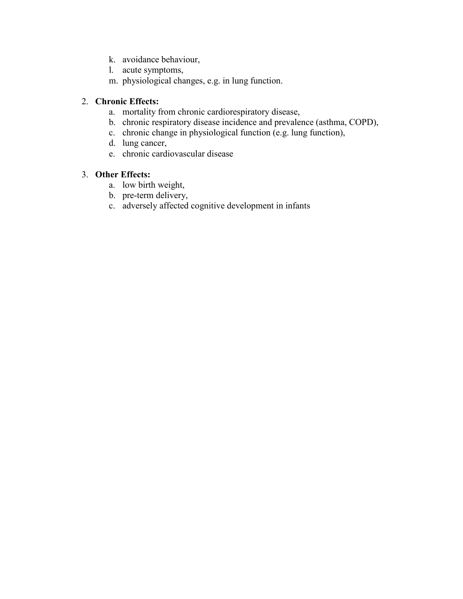- k. avoidance behaviour,
- l. acute symptoms,
- m. physiological changes, e.g. in lung function.

## 2. **Chronic Effects:**

- a. mortality from chronic cardiorespiratory disease,
- b. chronic respiratory disease incidence and prevalence (asthma, COPD),
- c. chronic change in physiological function (e.g. lung function),
- d. lung cancer,
- e. chronic cardiovascular disease

### 3. **Other Effects:**

- a. low birth weight,
- b. pre-term delivery,
- c. adversely affected cognitive development in infants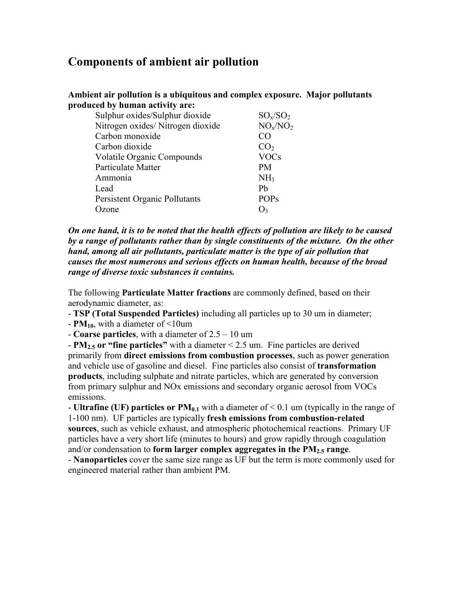## **Components of ambient air pollution**

| produced by human activity are:   |                 |
|-----------------------------------|-----------------|
| Sulphur oxides/Sulphur dioxide    | $SO_x/SO_2$     |
| Nitrogen oxides/Nitrogen dioxide  | $NO_x/NO_2$     |
| Carbon monoxide                   | CΟ              |
| Carbon dioxide                    | CO <sub>2</sub> |
| <b>Volatile Organic Compounds</b> | <b>VOCs</b>     |
| Particulate Matter                | <b>PM</b>       |
| Ammonia                           | NH <sub>3</sub> |
| Lead                              | Pb              |
| Persistent Organic Pollutants     | <b>POPs</b>     |
| )zone                             |                 |
|                                   |                 |

**Ambient air pollution is a ubiquitous and complex exposure. Major pollutants** 

*On one hand, it is to be noted that the health effects of pollution are likely to be caused by a range of pollutants rather than by single constituents of the mixture. On the other hand, among all air pollutants, particulate matter is the type of air pollution that causes the most numerous and serious effects on human health, because of the broad range of diverse toxic substances it contains.* 

The following **Particulate Matter fractions** are commonly defined, based on their aerodynamic diameter, as:

- **TSP (Total Suspended Particles)** including all particles up to 30 um in diameter;

- **PM10**, with a diameter of <10um

- **Coarse particles**, with a diameter of 2.5 – 10 um

- **PM2.5 or "fine particles"** with a diameter < 2.5 um. Fine particles are derived primarily from **direct emissions from combustion processes**, such as power generation and vehicle use of gasoline and diesel. Fine particles also consist of **transformation products**, including sulphate and nitrate particles, which are generated by conversion from primary sulphur and NOx emissions and secondary organic aerosol from VOCs emissions.

- **Ultrafine (UF) particles or PM0.1** with a diameter of < 0.1 um (typically in the range of 1-100 nm). UF particles are typically **fresh emissions from combustion-related sources**, such as vehicle exhaust, and atmospheric photochemical reactions. Primary UF particles have a very short life (minutes to hours) and grow rapidly through coagulation and/or condensation to **form larger complex aggregates in the PM2.5 range**.

- **Nanoparticles** cover the same size range as UF but the term is more commonly used for engineered material rather than ambient PM.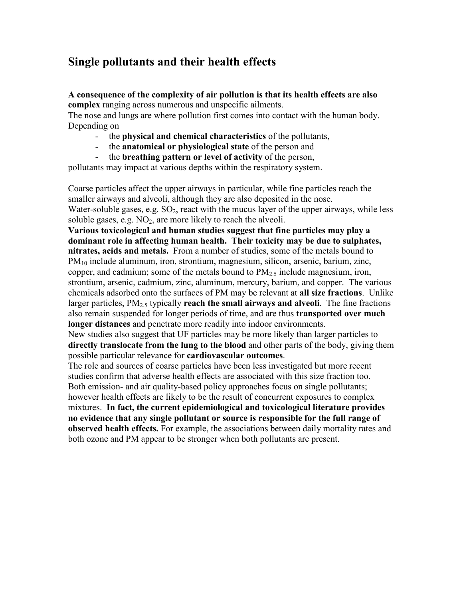## **Single pollutants and their health effects**

**A consequence of the complexity of air pollution is that its health effects are also complex** ranging across numerous and unspecific ailments.

The nose and lungs are where pollution first comes into contact with the human body. Depending on

- the **physical and chemical characteristics** of the pollutants,
- the **anatomical or physiological state** of the person and
- the **breathing pattern or level of activity** of the person,

pollutants may impact at various depths within the respiratory system.

Coarse particles affect the upper airways in particular, while fine particles reach the smaller airways and alveoli, although they are also deposited in the nose. Water-soluble gases, e.g.  $SO_2$ , react with the mucus layer of the upper airways, while less soluble gases, e.g.  $NO<sub>2</sub>$ , are more likely to reach the alveoli.

**Various toxicological and human studies suggest that fine particles may play a dominant role in affecting human health. Their toxicity may be due to sulphates, nitrates, acids and metals.** From a number of studies, some of the metals bound to PM<sub>10</sub> include aluminum, iron, strontium, magnesium, silicon, arsenic, barium, zinc, copper, and cadmium; some of the metals bound to  $PM_{2.5}$  include magnesium, iron, strontium, arsenic, cadmium, zinc, aluminum, mercury, barium, and copper. The various chemicals adsorbed onto the surfaces of PM may be relevant at **all size fractions**. Unlike larger particles,  $PM_{2.5}$  typically **reach the small airways and alveoli**. The fine fractions also remain suspended for longer periods of time, and are thus **transported over much longer distances** and penetrate more readily into indoor environments.

New studies also suggest that UF particles may be more likely than larger particles to **directly translocate from the lung to the blood** and other parts of the body, giving them possible particular relevance for **cardiovascular outcomes**.

The role and sources of coarse particles have been less investigated but more recent studies confirm that adverse health effects are associated with this size fraction too. Both emission- and air quality-based policy approaches focus on single pollutants; however health effects are likely to be the result of concurrent exposures to complex mixtures. **In fact, the current epidemiological and toxicological literature provides no evidence that any single pollutant or source is responsible for the full range of observed health effects.** For example, the associations between daily mortality rates and both ozone and PM appear to be stronger when both pollutants are present.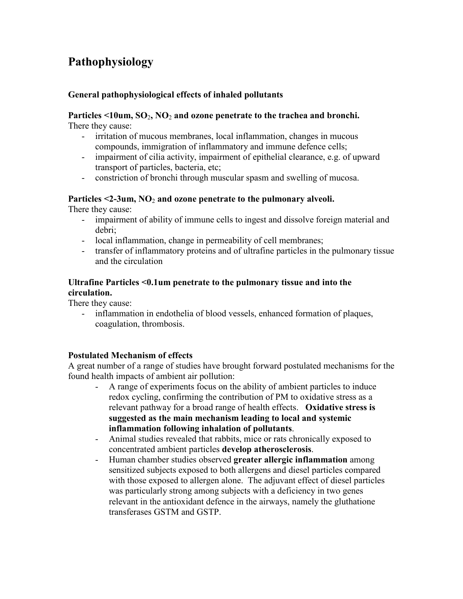## **Pathophysiology**

### **General pathophysiological effects of inhaled pollutants**

#### **Particles <10um, SO**2**, NO**2 **and ozone penetrate to the trachea and bronchi.**  There they cause:

- irritation of mucous membranes, local inflammation, changes in mucous compounds, immigration of inflammatory and immune defence cells;
- impairment of cilia activity, impairment of epithelial clearance, e.g. of upward transport of particles, bacteria, etc;
- constriction of bronchi through muscular spasm and swelling of mucosa.

## **Particles <2-3um, NO**2 **and ozone penetrate to the pulmonary alveoli.**

There they cause:

- impairment of ability of immune cells to ingest and dissolve foreign material and debri;
- local inflammation, change in permeability of cell membranes;
- transfer of inflammatory proteins and of ultrafine particles in the pulmonary tissue and the circulation

## **Ultrafine Particles <0.1um penetrate to the pulmonary tissue and into the circulation.**

There they cause:

- inflammation in endothelia of blood vessels, enhanced formation of plaques, coagulation, thrombosis.

## **Postulated Mechanism of effects**

A great number of a range of studies have brought forward postulated mechanisms for the found health impacts of ambient air pollution:

- A range of experiments focus on the ability of ambient particles to induce redox cycling, confirming the contribution of PM to oxidative stress as a relevant pathway for a broad range of health effects. **Oxidative stress is suggested as the main mechanism leading to local and systemic inflammation following inhalation of pollutants**.
- Animal studies revealed that rabbits, mice or rats chronically exposed to concentrated ambient particles **develop atherosclerosis**.
- Human chamber studies observed **greater allergic inflammation** among sensitized subjects exposed to both allergens and diesel particles compared with those exposed to allergen alone. The adjuvant effect of diesel particles was particularly strong among subjects with a deficiency in two genes relevant in the antioxidant defence in the airways, namely the gluthatione transferases GSTM and GSTP.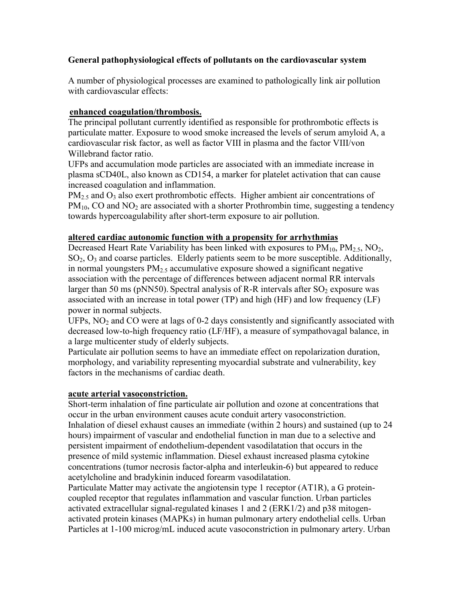## **General pathophysiological effects of pollutants on the cardiovascular system**

A number of physiological processes are examined to pathologically link air pollution with cardiovascular effects:

## **enhanced coagulation/thrombosis.**

The principal pollutant currently identified as responsible for prothrombotic effects is particulate matter. Exposure to wood smoke increased the levels of serum amyloid A, a cardiovascular risk factor, as well as factor VIII in plasma and the factor VIII/von Willebrand factor ratio.

UFPs and accumulation mode particles are associated with an immediate increase in plasma sCD40L, also known as CD154, a marker for platelet activation that can cause increased coagulation and inflammation.

 $PM_{2.5}$  and  $O_3$  also exert prothrombotic effects. Higher ambient air concentrations of  $PM_{10}$ , CO and NO<sub>2</sub> are associated with a shorter Prothrombin time, suggesting a tendency towards hypercoagulability after short-term exposure to air pollution.

## **altered cardiac autonomic function with a propensity for arrhythmias**

Decreased Heart Rate Variability has been linked with exposures to  $PM_{10}$ ,  $PM_{2.5}$ ,  $NO_2$ , SO2, O3 and coarse particles. Elderly patients seem to be more susceptible. Additionally, in normal youngsters  $PM<sub>2.5</sub>$  accumulative exposure showed a significant negative association with the percentage of differences between adjacent normal RR intervals larger than 50 ms (pNN50). Spectral analysis of R-R intervals after  $SO_2$  exposure was associated with an increase in total power (TP) and high (HF) and low frequency (LF) power in normal subjects.

UFPs,  $NO<sub>2</sub>$  and CO were at lags of 0-2 days consistently and significantly associated with decreased low-to-high frequency ratio (LF/HF), a measure of sympathovagal balance, in a large multicenter study of elderly subjects.

Particulate air pollution seems to have an immediate effect on repolarization duration, morphology, and variability representing myocardial substrate and vulnerability, key factors in the mechanisms of cardiac death.

## **acute arterial vasoconstriction.**

Short-term inhalation of fine particulate air pollution and ozone at concentrations that occur in the urban environment causes acute conduit artery vasoconstriction. Inhalation of diesel exhaust causes an immediate (within 2 hours) and sustained (up to 24 hours) impairment of vascular and endothelial function in man due to a selective and persistent impairment of endothelium-dependent vasodilatation that occurs in the presence of mild systemic inflammation. Diesel exhaust increased plasma cytokine concentrations (tumor necrosis factor-alpha and interleukin-6) but appeared to reduce acetylcholine and bradykinin induced forearm vasodilatation.

Particulate Matter may activate the angiotensin type 1 receptor (AT1R), a G proteincoupled receptor that regulates inflammation and vascular function. Urban particles activated extracellular signal-regulated kinases 1 and 2 (ERK1/2) and p38 mitogenactivated protein kinases (MAPKs) in human pulmonary artery endothelial cells. Urban Particles at 1-100 microg/mL induced acute vasoconstriction in pulmonary artery. Urban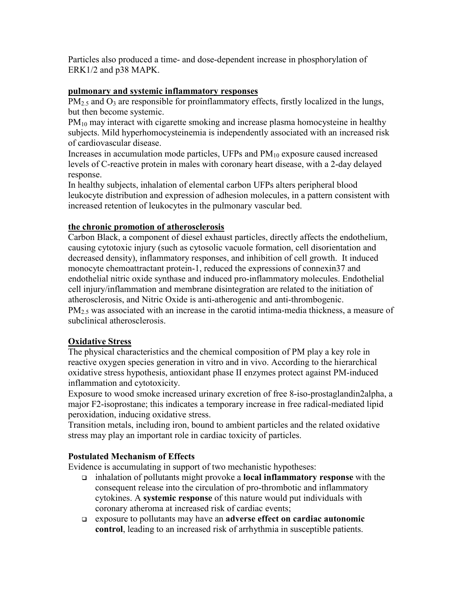Particles also produced a time- and dose-dependent increase in phosphorylation of ERK1/2 and p38 MAPK.

### **pulmonary and systemic inflammatory responses**

 $PM<sub>2.5</sub>$  and  $O<sub>3</sub>$  are responsible for proinflammatory effects, firstly localized in the lungs, but then become systemic.

PM<sub>10</sub> may interact with cigarette smoking and increase plasma homocysteine in healthy subjects. Mild hyperhomocysteinemia is independently associated with an increased risk of cardiovascular disease.

Increases in accumulation mode particles, UFPs and  $PM_{10}$  exposure caused increased levels of C-reactive protein in males with coronary heart disease, with a 2-day delayed response.

In healthy subjects, inhalation of elemental carbon UFPs alters peripheral blood leukocyte distribution and expression of adhesion molecules, in a pattern consistent with increased retention of leukocytes in the pulmonary vascular bed.

## **the chronic promotion of atherosclerosis**

Carbon Black, a component of diesel exhaust particles, directly affects the endothelium, causing cytotoxic injury (such as cytosolic vacuole formation, cell disorientation and decreased density), inflammatory responses, and inhibition of cell growth. It induced monocyte chemoattractant protein-1, reduced the expressions of connexin37 and endothelial nitric oxide synthase and induced pro-inflammatory molecules. Endothelial cell injury/inflammation and membrane disintegration are related to the initiation of atherosclerosis, and Nitric Oxide is anti-atherogenic and anti-thrombogenic.  $PM<sub>25</sub>$  was associated with an increase in the carotid intima-media thickness, a measure of subclinical atherosclerosis.

## **Oxidative Stress**

The physical characteristics and the chemical composition of PM play a key role in reactive oxygen species generation in vitro and in vivo. According to the hierarchical oxidative stress hypothesis, antioxidant phase II enzymes protect against PM-induced inflammation and cytotoxicity.

Exposure to wood smoke increased urinary excretion of free 8-iso-prostaglandin2alpha, a major F2-isoprostane; this indicates a temporary increase in free radical-mediated lipid peroxidation, inducing oxidative stress.

Transition metals, including iron, bound to ambient particles and the related oxidative stress may play an important role in cardiac toxicity of particles.

## **Postulated Mechanism of Effects**

Evidence is accumulating in support of two mechanistic hypotheses:

- <sup>q</sup> inhalation of pollutants might provoke a **local inflammatory response** with the consequent release into the circulation of pro-thrombotic and inflammatory cytokines. A **systemic response** of this nature would put individuals with coronary atheroma at increased risk of cardiac events;
- <sup>q</sup> exposure to pollutants may have an **adverse effect on cardiac autonomic control**, leading to an increased risk of arrhythmia in susceptible patients.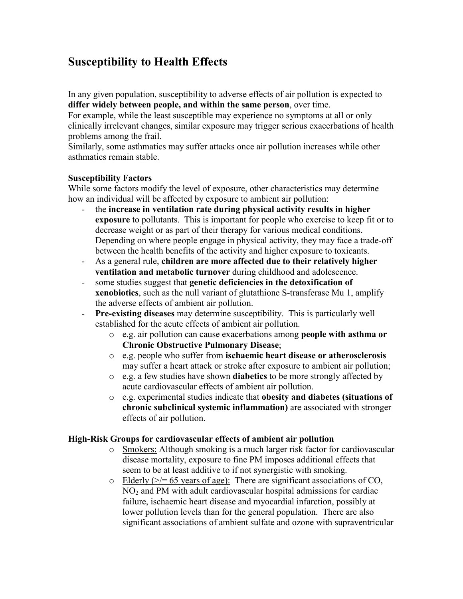## **Susceptibility to Health Effects**

In any given population, susceptibility to adverse effects of air pollution is expected to **differ widely between people, and within the same person**, over time.

For example, while the least susceptible may experience no symptoms at all or only clinically irrelevant changes, similar exposure may trigger serious exacerbations of health problems among the frail.

Similarly, some asthmatics may suffer attacks once air pollution increases while other asthmatics remain stable.

### **Susceptibility Factors**

While some factors modify the level of exposure, other characteristics may determine how an individual will be affected by exposure to ambient air pollution:

- the **increase in ventilation rate during physical activity results in higher exposure** to pollutants. This is important for people who exercise to keep fit or to decrease weight or as part of their therapy for various medical conditions. Depending on where people engage in physical activity, they may face a trade-off between the health benefits of the activity and higher exposure to toxicants.
- As a general rule, **children are more affected due to their relatively higher ventilation and metabolic turnover** during childhood and adolescence.
- some studies suggest that **genetic deficiencies in the detoxification of xenobiotics**, such as the null variant of glutathione S-transferase Mu 1, amplify the adverse effects of ambient air pollution.
- **Pre-existing diseases** may determine susceptibility. This is particularly well established for the acute effects of ambient air pollution.
	- o e.g. air pollution can cause exacerbations among **people with asthma or Chronic Obstructive Pulmonary Disease**;
	- o e.g. people who suffer from **ischaemic heart disease or atherosclerosis** may suffer a heart attack or stroke after exposure to ambient air pollution;
	- o e.g. a few studies have shown **diabetics** to be more strongly affected by acute cardiovascular effects of ambient air pollution.
	- o e.g. experimental studies indicate that **obesity and diabetes (situations of chronic subclinical systemic inflammation)** are associated with stronger effects of air pollution.

#### **High-Risk Groups for cardiovascular effects of ambient air pollution**

- o Smokers: Although smoking is a much larger risk factor for cardiovascular disease mortality, exposure to fine PM imposes additional effects that seem to be at least additive to if not synergistic with smoking.
- o Elderly  $(\geq)$  = 65 years of age): There are significant associations of CO,  $NO<sub>2</sub>$  and PM with adult cardiovascular hospital admissions for cardiac failure, ischaemic heart disease and myocardial infarction, possibly at lower pollution levels than for the general population. There are also significant associations of ambient sulfate and ozone with supraventricular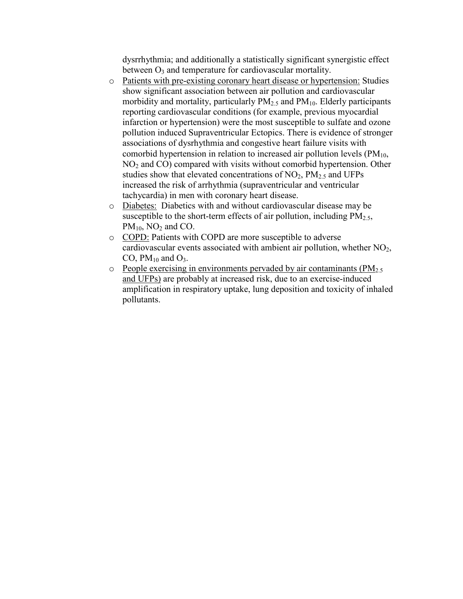dysrrhythmia; and additionally a statistically significant synergistic effect between  $O_3$  and temperature for cardiovascular mortality.

- o Patients with pre-existing coronary heart disease or hypertension: Studies show significant association between air pollution and cardiovascular morbidity and mortality, particularly  $PM<sub>2.5</sub>$  and  $PM<sub>10</sub>$ . Elderly participants reporting cardiovascular conditions (for example, previous myocardial infarction or hypertension) were the most susceptible to sulfate and ozone pollution induced Supraventricular Ectopics. There is evidence of stronger associations of dysrhythmia and congestive heart failure visits with comorbid hypertension in relation to increased air pollution levels  $(PM_{10}$ , NO<sub>2</sub> and CO) compared with visits without comorbid hypertension. Other studies show that elevated concentrations of  $NO<sub>2</sub>$ ,  $PM<sub>2.5</sub>$  and UFPs increased the risk of arrhythmia (supraventricular and ventricular tachycardia) in men with coronary heart disease.
- o Diabetes: Diabetics with and without cardiovascular disease may be susceptible to the short-term effects of air pollution, including  $PM_{2.5}$ ,  $PM_{10}$ , NO<sub>2</sub> and CO.
- o COPD: Patients with COPD are more susceptible to adverse cardiovascular events associated with ambient air pollution, whether  $NO<sub>2</sub>$ , CO,  $PM_{10}$  and  $O_3$ .
- $\circ$  People exercising in environments pervaded by air contaminants (PM<sub>2.5</sub>) and UFPs) are probably at increased risk, due to an exercise-induced amplification in respiratory uptake, lung deposition and toxicity of inhaled pollutants.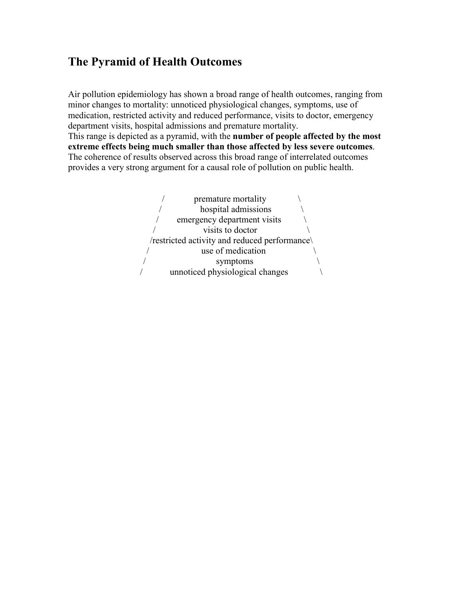## **The Pyramid of Health Outcomes**

Air pollution epidemiology has shown a broad range of health outcomes, ranging from minor changes to mortality: unnoticed physiological changes, symptoms, use of medication, restricted activity and reduced performance, visits to doctor, emergency department visits, hospital admissions and premature mortality. This range is depicted as a pyramid, with the **number of people affected by the most extreme effects being much smaller than those affected by less severe outcomes**. The coherence of results observed across this broad range of interrelated outcomes provides a very strong argument for a causal role of pollution on public health.

> premature mortality hospital admissions emergency department visits visits to doctor /restricted activity and reduced performance\ use of medication symptoms / unnoticed physiological changes \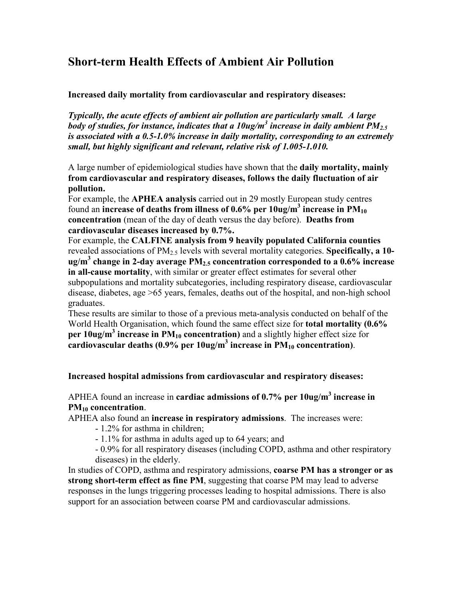## **Short-term Health Effects of Ambient Air Pollution**

#### **Increased daily mortality from cardiovascular and respiratory diseases:**

*Typically, the acute effects of ambient air pollution are particularly small. A large body of studies, for instance, indicates that a 10ug/m<sup>3</sup> increase in daily ambient PM2.5 is associated with a 0.5-1.0% increase in daily mortality, corresponding to an extremely small, but highly significant and relevant, relative risk of 1.005-1.010.* 

A large number of epidemiological studies have shown that the **daily mortality, mainly from cardiovascular and respiratory diseases, follows the daily fluctuation of air pollution.**

For example, the **APHEA analysis** carried out in 29 mostly European study centres found an **increase of deaths from illness of 0.6% per 10ug/m<sup>3</sup> increase in PM<sup>10</sup> concentration** (mean of the day of death versus the day before). **Deaths from cardiovascular diseases increased by 0.7%.**

For example, the **CALFINE analysis from 9 heavily populated California counties** revealed associations of PM<sub>2.5</sub> levels with several mortality categories. **Specifically, a 10ug/m<sup>3</sup> change in 2-day average PM2.5 concentration corresponded to a 0.6% increase in all-cause mortality**, with similar or greater effect estimates for several other subpopulations and mortality subcategories, including respiratory disease, cardiovascular disease, diabetes, age >65 years, females, deaths out of the hospital, and non-high school graduates.

These results are similar to those of a previous meta-analysis conducted on behalf of the World Health Organisation, which found the same effect size for **total mortality (0.6% per 10ug/m<sup>3</sup> increase in PM10 concentration)** and a slightly higher effect size for **cardiovascular deaths (0.9% per 10ug/m<sup>3</sup> increase in PM10 concentration)**.

#### **Increased hospital admissions from cardiovascular and respiratory diseases:**

## APHEA found an increase in **cardiac admissions of 0.7% per 10ug/m<sup>3</sup> increase in PM10 concentration**.

APHEA also found an **increase in respiratory admissions**. The increases were:

- 1.2% for asthma in children;

- 1.1% for asthma in adults aged up to 64 years; and

- 0.9% for all respiratory diseases (including COPD, asthma and other respiratory diseases) in the elderly.

In studies of COPD, asthma and respiratory admissions, **coarse PM has a stronger or as strong short-term effect as fine PM**, suggesting that coarse PM may lead to adverse responses in the lungs triggering processes leading to hospital admissions. There is also support for an association between coarse PM and cardiovascular admissions.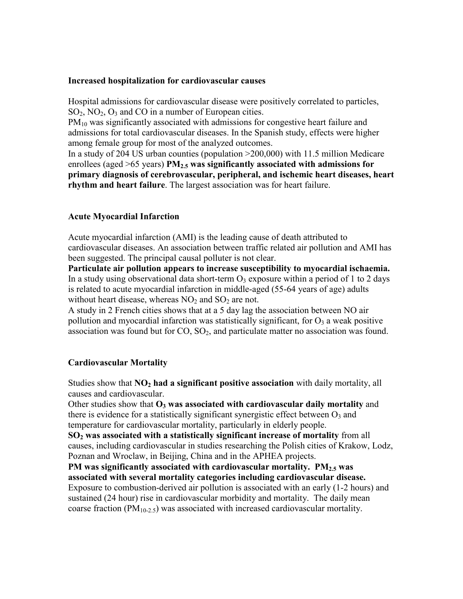#### **Increased hospitalization for cardiovascular causes**

Hospital admissions for cardiovascular disease were positively correlated to particles,  $SO_2$ ,  $NO_2$ ,  $O_3$  and CO in a number of European cities.

PM<sub>10</sub> was significantly associated with admissions for congestive heart failure and admissions for total cardiovascular diseases. In the Spanish study, effects were higher among female group for most of the analyzed outcomes.

In a study of 204 US urban counties (population >200,000) with 11.5 million Medicare enrollees (aged >65 years) **PM2.5 was significantly associated with admissions for primary diagnosis of cerebrovascular, peripheral, and ischemic heart diseases, heart rhythm and heart failure**. The largest association was for heart failure.

#### **Acute Myocardial Infarction**

Acute myocardial infarction (AMI) is the leading cause of death attributed to cardiovascular diseases. An association between traffic related air pollution and AMI has been suggested. The principal causal polluter is not clear.

**Particulate air pollution appears to increase susceptibility to myocardial ischaemia.**  In a study using observational data short-term  $O_3$  exposure within a period of 1 to 2 days is related to acute myocardial infarction in middle-aged (55-64 years of age) adults without heart disease, whereas  $NO<sub>2</sub>$  and  $SO<sub>2</sub>$  are not.

A study in 2 French cities shows that at a 5 day lag the association between NO air pollution and myocardial infarction was statistically significant, for  $O_3$  a weak positive association was found but for  $CO$ ,  $SO<sub>2</sub>$ , and particulate matter no association was found.

#### **Cardiovascular Mortality**

Studies show that **NO2 had a significant positive association** with daily mortality, all causes and cardiovascular.

Other studies show that **O3 was associated with cardiovascular daily mortality** and there is evidence for a statistically significant synergistic effect between  $O_3$  and temperature for cardiovascular mortality, particularly in elderly people.

**SO2 was associated with a statistically significant increase of mortality** from all causes, including cardiovascular in studies researching the Polish cities of Krakow, Lodz, Poznan and Wroclaw, in Beijing, China and in the APHEA projects.

**PM was significantly associated with cardiovascular mortality. PM2.5 was associated with several mortality categories including cardiovascular disease.**  Exposure to combustion-derived air pollution is associated with an early (1-2 hours) and sustained (24 hour) rise in cardiovascular morbidity and mortality. The daily mean coarse fraction ( $PM_{10-2.5}$ ) was associated with increased cardiovascular mortality.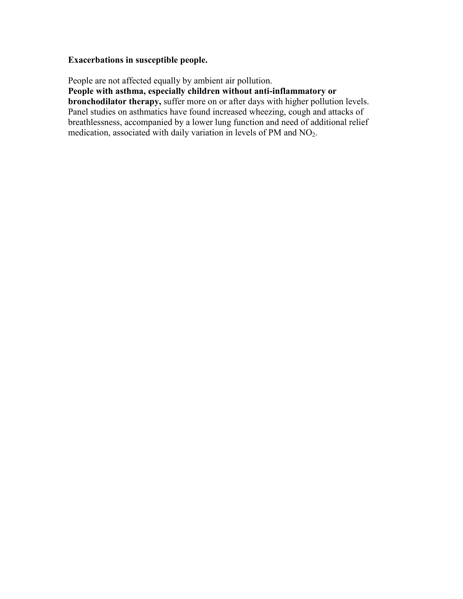## **Exacerbations in susceptible people.**

People are not affected equally by ambient air pollution.

**People with asthma, especially children without anti-inflammatory or**

**bronchodilator therapy,** suffer more on or after days with higher pollution levels. Panel studies on asthmatics have found increased wheezing, cough and attacks of breathlessness, accompanied by a lower lung function and need of additional relief medication, associated with daily variation in levels of PM and NO<sub>2</sub>.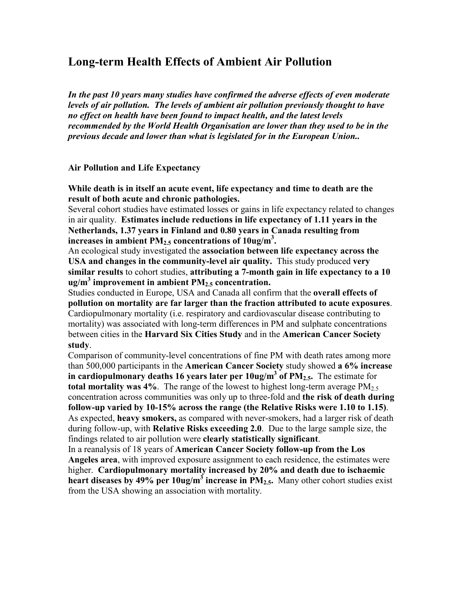## **Long-term Health Effects of Ambient Air Pollution**

*In the past 10 years many studies have confirmed the adverse effects of even moderate levels of air pollution. The levels of ambient air pollution previously thought to have no effect on health have been found to impact health, and the latest levels recommended by the World Health Organisation are lower than they used to be in the previous decade and lower than what is legislated for in the European Union..* 

#### **Air Pollution and Life Expectancy**

**While death is in itself an acute event, life expectancy and time to death are the result of both acute and chronic pathologies.** 

Several cohort studies have estimated losses or gains in life expectancy related to changes in air quality. **Estimates include reductions in life expectancy of 1.11 years in the Netherlands, 1.37 years in Finland and 0.80 years in Canada resulting from increases in ambient PM2.5 concentrations of 10ug/m<sup>3</sup> .** 

An ecological study investigated the **association between life expectancy across the USA and changes in the community-level air quality.** This study produced **very similar results** to cohort studies, **attributing a 7-month gain in life expectancy to a 10 ug/m<sup>3</sup> improvement in ambient PM2.5 concentration.**

Studies conducted in Europe, USA and Canada all confirm that the **overall effects of pollution on mortality are far larger than the fraction attributed to acute exposures**. Cardiopulmonary mortality (i.e. respiratory and cardiovascular disease contributing to mortality) was associated with long-term differences in PM and sulphate concentrations between cities in the **Harvard Six Cities Study** and in the **American Cancer Society study**.

Comparison of community-level concentrations of fine PM with death rates among more than 500,000 participants in the **American Cancer Society** study showed **a 6% increase in cardiopulmonary deaths 16 years later per 10ug/m<sup>3</sup> of PM2.5.** The estimate for **total mortality was 4%**. The range of the lowest to highest long-term average  $PM_{2.5}$ concentration across communities was only up to three-fold and **the risk of death during follow-up varied by 10-15% across the range (the Relative Risks were 1.10 to 1.15)**. As expected, **heavy smokers,** as compared with never-smokers, had a larger risk of death during follow-up, with **Relative Risks exceeding 2.0**. Due to the large sample size, the findings related to air pollution were **clearly statistically significant**.

In a reanalysis of 18 years of **American Cancer Society follow-up from the Los Angeles area**, with improved exposure assignment to each residence, the estimates were higher. **Cardiopulmonary mortality increased by 20% and death due to ischaemic heart diseases by 49% per 10ug/m<sup>3</sup> increase in PM2.5.** Many other cohort studies exist from the USA showing an association with mortality.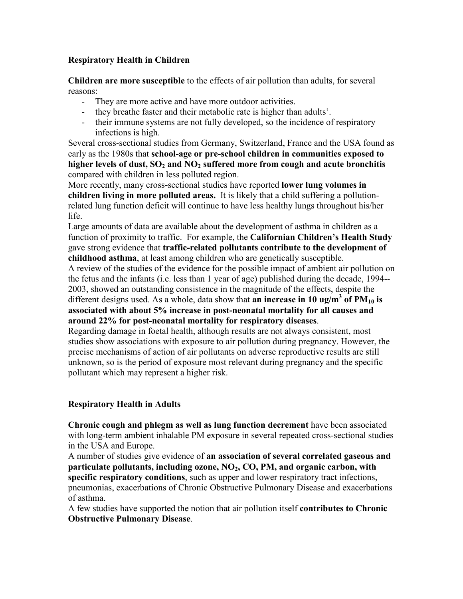## **Respiratory Health in Children**

**Children are more susceptible** to the effects of air pollution than adults, for several reasons:

- They are more active and have more outdoor activities.
- they breathe faster and their metabolic rate is higher than adults'.
- their immune systems are not fully developed, so the incidence of respiratory infections is high.

Several cross-sectional studies from Germany, Switzerland, France and the USA found as early as the 1980s that **school-age or pre-school children in communities exposed to higher levels of dust, SO2 and NO2 suffered more from cough and acute bronchitis** compared with children in less polluted region.

More recently, many cross-sectional studies have reported **lower lung volumes in children living in more polluted areas.** It is likely that a child suffering a pollutionrelated lung function deficit will continue to have less healthy lungs throughout his/her life.

Large amounts of data are available about the development of asthma in children as a function of proximity to traffic. For example, the **Californian Children's Health Study** gave strong evidence that **traffic-related pollutants contribute to the development of childhood asthma**, at least among children who are genetically susceptible.

A review of the studies of the evidence for the possible impact of ambient air pollution on the fetus and the infants (i.e. less than 1 year of age) published during the decade, 1994-- 2003, showed an outstanding consistence in the magnitude of the effects, despite the different designs used. As a whole, data show that **an increase in 10 ug/m<sup>3</sup> of PM10 is associated with about 5% increase in post-neonatal mortality for all causes and around 22% for post-neonatal mortality for respiratory diseases**.

Regarding damage in foetal health, although results are not always consistent, most studies show associations with exposure to air pollution during pregnancy. However, the precise mechanisms of action of air pollutants on adverse reproductive results are still unknown, so is the period of exposure most relevant during pregnancy and the specific pollutant which may represent a higher risk.

## **Respiratory Health in Adults**

**Chronic cough and phlegm as well as lung function decrement** have been associated with long-term ambient inhalable PM exposure in several repeated cross-sectional studies in the USA and Europe.

A number of studies give evidence of **an association of several correlated gaseous and particulate pollutants, including ozone, NO2, CO, PM, and organic carbon, with specific respiratory conditions**, such as upper and lower respiratory tract infections, pneumonias, exacerbations of Chronic Obstructive Pulmonary Disease and exacerbations of asthma.

A few studies have supported the notion that air pollution itself **contributes to Chronic Obstructive Pulmonary Disease**.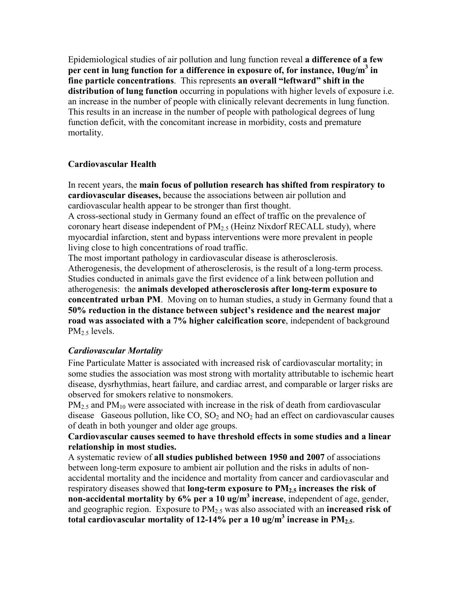Epidemiological studies of air pollution and lung function reveal **a difference of a few per cent in lung function for a difference in exposure of, for instance, 10ug/m<sup>3</sup> in fine particle concentrations**. This represents **an overall "leftward" shift in the distribution of lung function** occurring in populations with higher levels of exposure i.e. an increase in the number of people with clinically relevant decrements in lung function. This results in an increase in the number of people with pathological degrees of lung function deficit, with the concomitant increase in morbidity, costs and premature mortality.

## **Cardiovascular Health**

In recent years, the **main focus of pollution research has shifted from respiratory to cardiovascular diseases,** because the associations between air pollution and cardiovascular health appear to be stronger than first thought.

A cross-sectional study in Germany found an effect of traffic on the prevalence of coronary heart disease independent of  $PM<sub>2.5</sub>$  (Heinz Nixdorf RECALL study), where myocardial infarction, stent and bypass interventions were more prevalent in people living close to high concentrations of road traffic.

The most important pathology in cardiovascular disease is atherosclerosis. Atherogenesis, the development of atherosclerosis, is the result of a long-term process. Studies conducted in animals gave the first evidence of a link between pollution and atherogenesis: the **animals developed atherosclerosis after long-term exposure to concentrated urban PM**. Moving on to human studies, a study in Germany found that a **50% reduction in the distance between subject's residence and the nearest major road was associated with a 7% higher calcification score**, independent of background  $PM<sub>2.5</sub>$  levels.

## *Cardiovascular Mortality*

Fine Particulate Matter is associated with increased risk of cardiovascular mortality; in some studies the association was most strong with mortality attributable to ischemic heart disease, dysrhythmias, heart failure, and cardiac arrest, and comparable or larger risks are observed for smokers relative to nonsmokers.

 $PM<sub>2.5</sub>$  and  $PM<sub>10</sub>$  were associated with increase in the risk of death from cardiovascular disease Gaseous pollution, like  $CO$ ,  $SO_2$  and  $NO_2$  had an effect on cardiovascular causes of death in both younger and older age groups.

### **Cardiovascular causes seemed to have threshold effects in some studies and a linear relationship in most studies.**

A systematic review of **all studies published between 1950 and 2007** of associations between long-term exposure to ambient air pollution and the risks in adults of nonaccidental mortality and the incidence and mortality from cancer and cardiovascular and respiratory diseases showed that **long-term exposure to PM2.5 increases the risk of non-accidental mortality by 6% per a 10 ug/m<sup>3</sup> increase**, independent of age, gender, and geographic region. Exposure to PM2.5 was also associated with an **increased risk of total cardiovascular mortality of 12-14% per a 10 ug/m<sup>3</sup> increase in PM2.5**.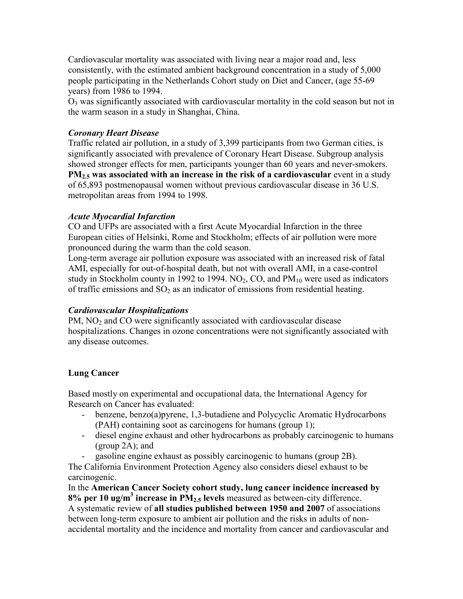Cardiovascular mortality was associated with living near a major road and, less consistently, with the estimated ambient background concentration in a study of 5,000 people participating in the Netherlands Cohort study on Diet and Cancer, (age 55-69 years) from 1986 to 1994.

 $O<sub>3</sub>$  was significantly associated with cardiovascular mortality in the cold season but not in the warm season in a study in Shanghai, China.

## *Coronary Heart Disease*

Traffic related air pollution, in a study of 3,399 participants from two German cities, is significantly associated with prevalence of Coronary Heart Disease. Subgroup analysis showed stronger effects for men, participants younger than 60 years and never-smokers. **PM2.5 was associated with an increase in the risk of a cardiovascular** event in a study of 65,893 postmenopausal women without previous cardiovascular disease in 36 U.S. metropolitan areas from 1994 to 1998.

## *Acute Myocardial Infarction*

CO and UFPs are associated with a first Acute Myocardial Infarction in the three European cities of Helsinki, Rome and Stockholm; effects of air pollution were more pronounced during the warm than the cold season.

Long-term average air pollution exposure was associated with an increased risk of fatal AMI, especially for out-of-hospital death, but not with overall AMI, in a case-control study in Stockholm county in 1992 to 1994. NO<sub>2</sub>, CO, and  $PM<sub>10</sub>$  were used as indicators of traffic emissions and  $SO<sub>2</sub>$  as an indicator of emissions from residential heating.

## *Cardiovascular Hospitalizations*

 $PM$ ,  $NO<sub>2</sub>$  and  $CO$  were significantly associated with cardiovascular disease hospitalizations. Changes in ozone concentrations were not significantly associated with any disease outcomes.

## **Lung Cancer**

Based mostly on experimental and occupational data, the International Agency for Research on Cancer has evaluated:

- benzene, benzo(a)pyrene, 1,3-butadiene and Polycyclic Aromatic Hydrocarbons (PAH) containing soot as carcinogens for humans (group 1);
- diesel engine exhaust and other hydrocarbons as probably carcinogenic to humans (group 2A); and
- gasoline engine exhaust as possibly carcinogenic to humans (group 2B).

The California Environment Protection Agency also considers diesel exhaust to be carcinogenic.

In the **American Cancer Society cohort study, lung cancer incidence increased by 8% per 10 ug/m<sup>3</sup> increase in PM2.5 levels** measured as between-city difference. A systematic review of **all studies published between 1950 and 2007** of associations between long-term exposure to ambient air pollution and the risks in adults of nonaccidental mortality and the incidence and mortality from cancer and cardiovascular and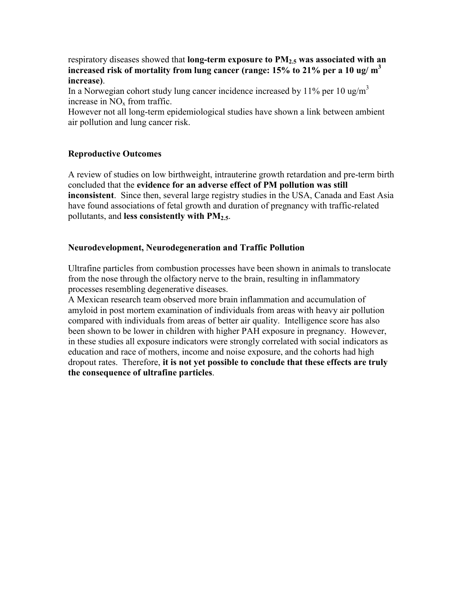respiratory diseases showed that **long-term exposure to PM2.5 was associated with an increased risk of mortality from lung cancer (range: 15% to 21% per a 10 ug/ m<sup>3</sup> increase)**.

In a Norwegian cohort study lung cancer incidence increased by 11% per 10 ug/m<sup>3</sup> increase in  $NO<sub>x</sub>$  from traffic.

However not all long-term epidemiological studies have shown a link between ambient air pollution and lung cancer risk.

## **Reproductive Outcomes**

A review of studies on low birthweight, intrauterine growth retardation and pre-term birth concluded that the **evidence for an adverse effect of PM pollution was still inconsistent**. Since then, several large registry studies in the USA, Canada and East Asia have found associations of fetal growth and duration of pregnancy with traffic-related pollutants, and **less consistently with PM2.5**.

### **Neurodevelopment, Neurodegeneration and Traffic Pollution**

Ultrafine particles from combustion processes have been shown in animals to translocate from the nose through the olfactory nerve to the brain, resulting in inflammatory processes resembling degenerative diseases.

A Mexican research team observed more brain inflammation and accumulation of amyloid in post mortem examination of individuals from areas with heavy air pollution compared with individuals from areas of better air quality. Intelligence score has also been shown to be lower in children with higher PAH exposure in pregnancy. However, in these studies all exposure indicators were strongly correlated with social indicators as education and race of mothers, income and noise exposure, and the cohorts had high dropout rates. Therefore, **it is not yet possible to conclude that these effects are truly the consequence of ultrafine particles**.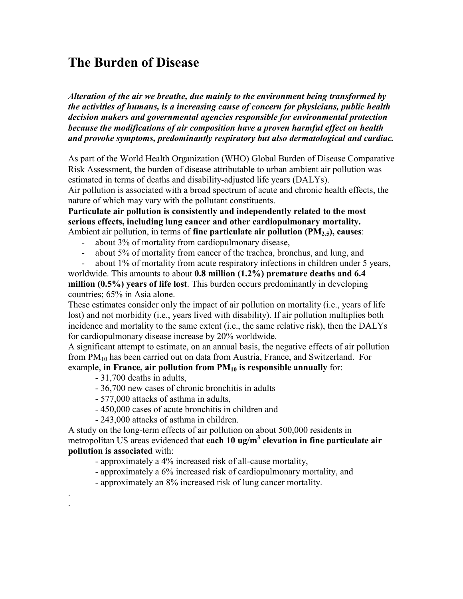# **The Burden of Disease**

*Alteration of the air we breathe, due mainly to the environment being transformed by the activities of humans, is a increasing cause of concern for physicians, public health decision makers and governmental agencies responsible for environmental protection because the modifications of air composition have a proven harmful effect on health and provoke symptoms, predominantly respiratory but also dermatological and cardiac.* 

As part of the World Health Organization (WHO) Global Burden of Disease Comparative Risk Assessment, the burden of disease attributable to urban ambient air pollution was estimated in terms of deaths and disability-adjusted life years (DALYs).

Air pollution is associated with a broad spectrum of acute and chronic health effects, the nature of which may vary with the pollutant constituents.

**Particulate air pollution is consistently and independently related to the most serious effects, including lung cancer and other cardiopulmonary mortality.** Ambient air pollution, in terms of **fine particulate air pollution (PM2.5), causes**:

- about 3% of mortality from cardiopulmonary disease,
- about 5% of mortality from cancer of the trachea, bronchus, and lung, and

- about 1% of mortality from acute respiratory infections in children under 5 years,

worldwide. This amounts to about **0.8 million (1.2%) premature deaths and 6.4 million (0.5%) years of life lost**. This burden occurs predominantly in developing countries; 65% in Asia alone.

These estimates consider only the impact of air pollution on mortality (i.e., years of life lost) and not morbidity (i.e., years lived with disability). If air pollution multiplies both incidence and mortality to the same extent (i.e., the same relative risk), then the DALYs for cardiopulmonary disease increase by 20% worldwide.

A significant attempt to estimate, on an annual basis, the negative effects of air pollution from  $PM_{10}$  has been carried out on data from Austria, France, and Switzerland. For example, in France, air pollution from PM<sub>10</sub> is responsible annually for:

- 31,700 deaths in adults,

. .

- 36,700 new cases of chronic bronchitis in adults
- 577,000 attacks of asthma in adults,
- 450,000 cases of acute bronchitis in children and
- 243,000 attacks of asthma in children.

A study on the long-term effects of air pollution on about 500,000 residents in metropolitan US areas evidenced that **each 10 ug/m<sup>3</sup> elevation in fine particulate air pollution is associated** with:

- approximately a 4% increased risk of all-cause mortality,
- approximately a 6% increased risk of cardiopulmonary mortality, and
- approximately an 8% increased risk of lung cancer mortality.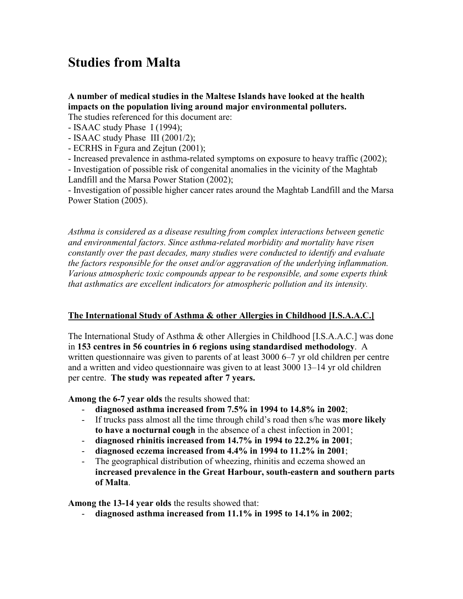# **Studies from Malta**

**A number of medical studies in the Maltese Islands have looked at the health impacts on the population living around major environmental polluters.**

The studies referenced for this document are:

- ISAAC study Phase I (1994);
- ISAAC study Phase III (2001/2);
- ECRHS in Fgura and Zejtun (2001);
- Increased prevalence in asthma-related symptoms on exposure to heavy traffic (2002);

- Investigation of possible risk of congenital anomalies in the vicinity of the Maghtab Landfill and the Marsa Power Station (2002);

- Investigation of possible higher cancer rates around the Maghtab Landfill and the Marsa Power Station (2005).

*Asthma is considered as a disease resulting from complex interactions between genetic and environmental factors. Since asthma-related morbidity and mortality have risen constantly over the past decades, many studies were conducted to identify and evaluate the factors responsible for the onset and/or aggravation of the underlying inflammation. Various atmospheric toxic compounds appear to be responsible, and some experts think that asthmatics are excellent indicators for atmospheric pollution and its intensity.* 

## **The International Study of Asthma & other Allergies in Childhood [I.S.A.A.C.]**

The International Study of Asthma & other Allergies in Childhood [I.S.A.A.C.] was done in **153 centres in 56 countries in 6 regions using standardised methodology**. A written questionnaire was given to parents of at least 3000 6–7 yr old children per centre and a written and video questionnaire was given to at least 3000 13–14 yr old children per centre. **The study was repeated after 7 years.**

**Among the 6-7 year olds** the results showed that:

- **diagnosed asthma increased from 7.5% in 1994 to 14.8% in 2002**;
- If trucks pass almost all the time through child's road then s/he was **more likely to have a nocturnal cough** in the absence of a chest infection in 2001;
- **diagnosed rhinitis increased from 14.7% in 1994 to 22.2% in 2001**;
- **diagnosed eczema increased from 4.4% in 1994 to 11.2% in 2001**;
- The geographical distribution of wheezing, rhinitis and eczema showed an **increased prevalence in the Great Harbour, south-eastern and southern parts of Malta**.

**Among the 13-14 year olds** the results showed that:

- **diagnosed asthma increased from 11.1% in 1995 to 14.1% in 2002**;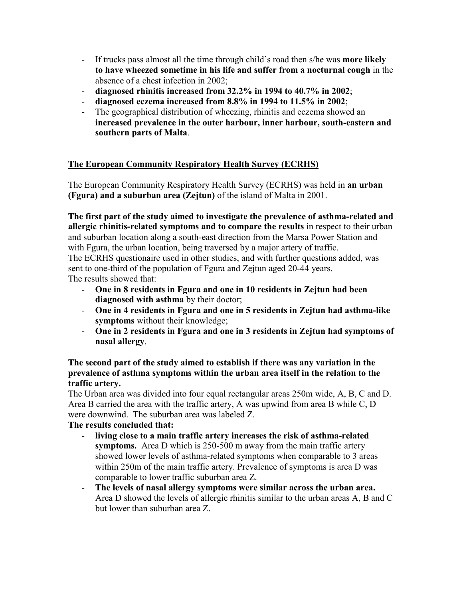- If trucks pass almost all the time through child's road then s/he was **more likely to have wheezed sometime in his life and suffer from a nocturnal cough** in the absence of a chest infection in 2002;
- **diagnosed rhinitis increased from 32.2% in 1994 to 40.7% in 2002**;
- **diagnosed eczema increased from 8.8% in 1994 to 11.5% in 2002**;
- The geographical distribution of wheezing, rhinitis and eczema showed an **increased prevalence in the outer harbour, inner harbour, south-eastern and southern parts of Malta**.

## **The European Community Respiratory Health Survey (ECRHS)**

The European Community Respiratory Health Survey (ECRHS) was held in **an urban (Fgura) and a suburban area (Zejtun)** of the island of Malta in 2001.

**The first part of the study aimed to investigate the prevalence of asthma-related and allergic rhinitis-related symptoms and to compare the results** in respect to their urban and suburban location along a south-east direction from the Marsa Power Station and with Fgura, the urban location, being traversed by a major artery of traffic. The ECRHS questionaire used in other studies, and with further questions added, was sent to one-third of the population of Fgura and Zejtun aged 20-44 years. The results showed that:

- **One in 8 residents in Fgura and one in 10 residents in Zejtun had been diagnosed with asthma** by their doctor;
- **One in 4 residents in Fgura and one in 5 residents in Zejtun had asthma-like symptoms** without their knowledge;
- **One in 2 residents in Fgura and one in 3 residents in Zejtun had symptoms of nasal allergy**.

### **The second part of the study aimed to establish if there was any variation in the prevalence of asthma symptoms within the urban area itself in the relation to the traffic artery.**

The Urban area was divided into four equal rectangular areas 250m wide, A, B, C and D. Area B carried the area with the traffic artery, A was upwind from area B while C, D were downwind. The suburban area was labeled Z.

## **The results concluded that:**

- **living close to a main traffic artery increases the risk of asthma-related symptoms.** Area D which is 250-500 m away from the main traffic artery showed lower levels of asthma-related symptoms when comparable to 3 areas within 250m of the main traffic artery. Prevalence of symptoms is area D was comparable to lower traffic suburban area Z.
- **The levels of nasal allergy symptoms were similar across the urban area.**  Area D showed the levels of allergic rhinitis similar to the urban areas A, B and C but lower than suburban area Z.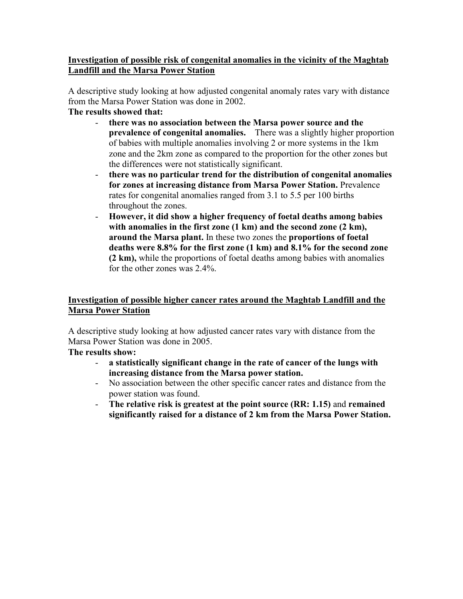## **Investigation of possible risk of congenital anomalies in the vicinity of the Maghtab Landfill and the Marsa Power Station**

A descriptive study looking at how adjusted congenital anomaly rates vary with distance from the Marsa Power Station was done in 2002.

- **The results showed that:** 
	- **there was no association between the Marsa power source and the prevalence of congenital anomalies.** There was a slightly higher proportion of babies with multiple anomalies involving 2 or more systems in the 1km zone and the 2km zone as compared to the proportion for the other zones but the differences were not statistically significant.
	- **there was no particular trend for the distribution of congenital anomalies for zones at increasing distance from Marsa Power Station.** Prevalence rates for congenital anomalies ranged from 3.1 to 5.5 per 100 births throughout the zones.
	- **However, it did show a higher frequency of foetal deaths among babies**  with anomalies in the first zone (1 km) and the second zone (2 km), **around the Marsa plant.** In these two zones the **proportions of foetal deaths were 8.8% for the first zone (1 km) and 8.1% for the second zone (2 km),** while the proportions of foetal deaths among babies with anomalies for the other zones was 2.4%.

## **Investigation of possible higher cancer rates around the Maghtab Landfill and the Marsa Power Station**

A descriptive study looking at how adjusted cancer rates vary with distance from the Marsa Power Station was done in 2005.

**The results show:** 

- **a statistically significant change in the rate of cancer of the lungs with increasing distance from the Marsa power station.**
- No association between the other specific cancer rates and distance from the power station was found.
- **The relative risk is greatest at the point source (RR: 1.15)** and **remained significantly raised for a distance of 2 km from the Marsa Power Station.**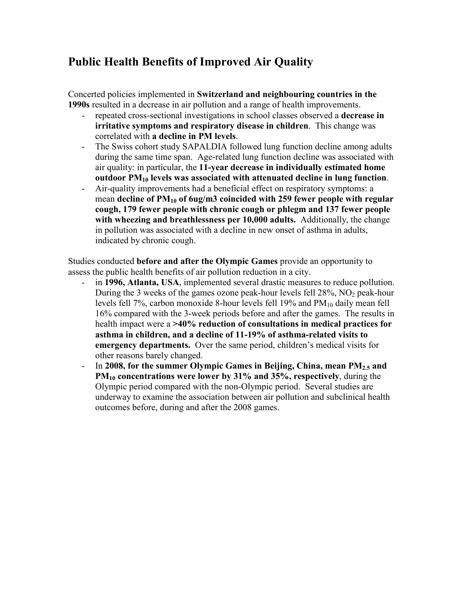## **Public Health Benefits of Improved Air Quality**

Concerted policies implemented in **Switzerland and neighbouring countries in the 1990s** resulted in a decrease in air pollution and a range of health improvements.

- repeated cross-sectional investigations in school classes observed a **decrease in irritative symptoms and respiratory disease in children**. This change was correlated with **a decline in PM levels**.
- The Swiss cohort study SAPALDIA followed lung function decline among adults during the same time span. Age-related lung function decline was associated with air quality: in particular, the **11-year decrease in individually estimated home outdoor PM10 levels was associated with attenuated decline in lung function**.
- Air-quality improvements had a beneficial effect on respiratory symptoms: a mean **decline of PM10 of 6ug/m3 coincided with 259 fewer people with regular cough, 179 fewer people with chronic cough or phlegm and 137 fewer people with wheezing and breathlessness per 10,000 adults.** Additionally, the change in pollution was associated with a decline in new onset of asthma in adults, indicated by chronic cough.

Studies conducted **before and after the Olympic Games** provide an opportunity to assess the public health benefits of air pollution reduction in a city.

- in **1996, Atlanta, USA**, implemented several drastic measures to reduce pollution. During the 3 weeks of the games ozone peak-hour levels fell  $28\%$ , NO<sub>2</sub> peak-hour levels fell 7%, carbon monoxide 8-hour levels fell 19% and  $PM_{10}$  daily mean fell 16% compared with the 3-week periods before and after the games. The results in health impact were a **>40% reduction of consultations in medical practices for asthma in children, and a decline of 11-19% of asthma-related visits to emergency departments.** Over the same period, children's medical visits for other reasons barely changed.
- In **2008, for the summer Olympic Games in Beijing, China, mean PM2.5 and PM10 concentrations were lower by 31% and 35%, respectively**, during the Olympic period compared with the non-Olympic period. Several studies are underway to examine the association between air pollution and subclinical health outcomes before, during and after the 2008 games.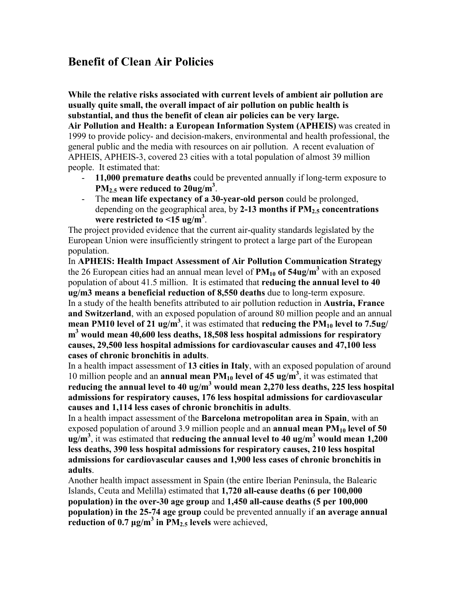## **Benefit of Clean Air Policies**

**While the relative risks associated with current levels of ambient air pollution are usually quite small, the overall impact of air pollution on public health is substantial, and thus the benefit of clean air policies can be very large. Air Pollution and Health: a European Information System (APHEIS)** was created in 1999 to provide policy- and decision-makers, environmental and health professional, the general public and the media with resources on air pollution. A recent evaluation of APHEIS, APHEIS-3, covered 23 cities with a total population of almost 39 million people. It estimated that:

- **11,000 premature deaths** could be prevented annually if long-term exposure to **PM2.5 were reduced to 20ug/m<sup>3</sup>** .
- The **mean life expectancy of a 30-year-old person** could be prolonged, depending on the geographical area, by **2-13 months if PM2.5 concentrations were restricted to <15 ug/m<sup>3</sup>** .

The project provided evidence that the current air-quality standards legislated by the European Union were insufficiently stringent to protect a large part of the European population.

In **APHEIS: Health Impact Assessment of Air Pollution Communication Strategy** the 26 European cities had an annual mean level of  $PM_{10}$  of  $54ug/m<sup>3</sup>$  with an exposed population of about 41.5 million. It is estimated that **reducing the annual level to 40 ug/m3 means a beneficial reduction of 8,550 deaths** due to long-term exposure. In a study of the health benefits attributed to air pollution reduction in **Austria, France and Switzerland**, with an exposed population of around 80 million people and an annual **mean PM10 level of 21 ug/m<sup>3</sup>** , it was estimated that **reducing the PM10 level to 7.5ug/ m 3 would mean 40,600 less deaths, 18,508 less hospital admissions for respiratory causes, 29,500 less hospital admissions for cardiovascular causes and 47,100 less cases of chronic bronchitis in adults**.

In a health impact assessment of **13 cities in Italy**, with an exposed population of around 10 million people and an **annual mean PM10 level of 45 ug/m<sup>3</sup>** , it was estimated that **reducing the annual level to 40 ug/m<sup>3</sup> would mean 2,270 less deaths, 225 less hospital admissions for respiratory causes, 176 less hospital admissions for cardiovascular causes and 1,114 less cases of chronic bronchitis in adults**.

In a health impact assessment of the **Barcelona metropolitan area in Spain**, with an exposed population of around 3.9 million people and an **annual mean PM**<sub>10</sub> level of 50 **ug/m<sup>3</sup>** , it was estimated that **reducing the annual level to 40 ug/m<sup>3</sup> would mean 1,200 less deaths, 390 less hospital admissions for respiratory causes, 210 less hospital admissions for cardiovascular causes and 1,900 less cases of chronic bronchitis in adults**.

Another health impact assessment in Spain (the entire Iberian Peninsula, the Balearic Islands, Ceuta and Melilla) estimated that **1,720 all-cause deaths (6 per 100,000 population) in the over-30 age group** and **1,450 all-cause deaths (5 per 100,000 population) in the 25-74 age group** could be prevented annually if **an average annual reduction of 0.7 µg/m<sup>3</sup> in PM2.5 levels** were achieved,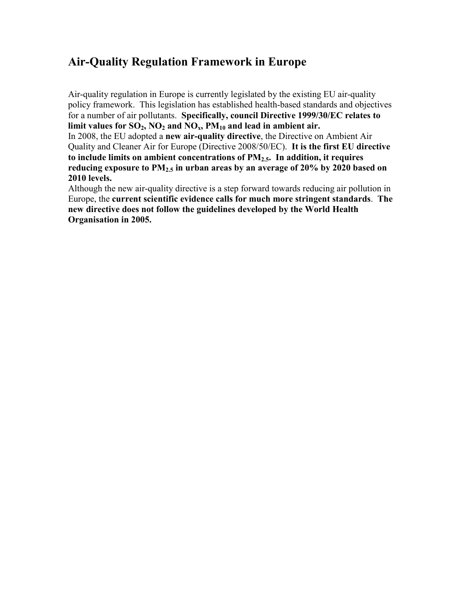## **Air-Quality Regulation Framework in Europe**

Air-quality regulation in Europe is currently legislated by the existing EU air-quality policy framework. This legislation has established health-based standards and objectives for a number of air pollutants. **Specifically, council Directive 1999/30/EC relates to**  limit values for  $SO_2$ ,  $NO_2$  and  $NO_x$ ,  $PM_{10}$  and lead in ambient air.

In 2008, the EU adopted a **new air-quality directive**, the Directive on Ambient Air Quality and Cleaner Air for Europe (Directive 2008/50/EC). **It is the first EU directive to include limits on ambient concentrations of PM2.5. In addition, it requires reducing exposure to PM2.5 in urban areas by an average of 20% by 2020 based on 2010 levels.**

Although the new air-quality directive is a step forward towards reducing air pollution in Europe, the **current scientific evidence calls for much more stringent standards**. **The new directive does not follow the guidelines developed by the World Health Organisation in 2005.**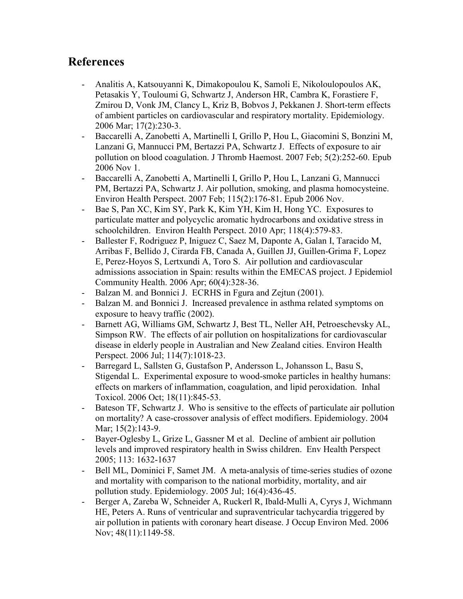## **References**

- [Analitis A,](http://www.ncbi.nlm.nih.gov/entrez/query.fcgi?db=pubmed&cmd=Search&itool=pubmed_AbstractPlus&term=%22Analitis+A%22%5BAuthor%5D) [Katsouyanni K,](http://www.ncbi.nlm.nih.gov/entrez/query.fcgi?db=pubmed&cmd=Search&itool=pubmed_AbstractPlus&term=%22Katsouyanni+K%22%5BAuthor%5D) [Dimakopoulou K,](http://www.ncbi.nlm.nih.gov/entrez/query.fcgi?db=pubmed&cmd=Search&itool=pubmed_AbstractPlus&term=%22Dimakopoulou+K%22%5BAuthor%5D) [Samoli E,](http://www.ncbi.nlm.nih.gov/entrez/query.fcgi?db=pubmed&cmd=Search&itool=pubmed_AbstractPlus&term=%22Samoli+E%22%5BAuthor%5D) [Nikoloulopoulos AK,](http://www.ncbi.nlm.nih.gov/entrez/query.fcgi?db=pubmed&cmd=Search&itool=pubmed_AbstractPlus&term=%22Nikoloulopoulos+AK%22%5BAuthor%5D) [Petasakis Y,](http://www.ncbi.nlm.nih.gov/entrez/query.fcgi?db=pubmed&cmd=Search&itool=pubmed_AbstractPlus&term=%22Petasakis+Y%22%5BAuthor%5D) [Touloumi G](http://www.ncbi.nlm.nih.gov/entrez/query.fcgi?db=pubmed&cmd=Search&itool=pubmed_AbstractPlus&term=%22Touloumi+G%22%5BAuthor%5D), [Schwartz J](http://www.ncbi.nlm.nih.gov/entrez/query.fcgi?db=pubmed&cmd=Search&itool=pubmed_AbstractPlus&term=%22Schwartz+J%22%5BAuthor%5D), [Anderson HR](http://www.ncbi.nlm.nih.gov/entrez/query.fcgi?db=pubmed&cmd=Search&itool=pubmed_AbstractPlus&term=%22Anderson+HR%22%5BAuthor%5D), [Cambra K,](http://www.ncbi.nlm.nih.gov/entrez/query.fcgi?db=pubmed&cmd=Search&itool=pubmed_AbstractPlus&term=%22Cambra+K%22%5BAuthor%5D) [Forastiere F](http://www.ncbi.nlm.nih.gov/entrez/query.fcgi?db=pubmed&cmd=Search&itool=pubmed_AbstractPlus&term=%22Forastiere+F%22%5BAuthor%5D), [Zmirou D,](http://www.ncbi.nlm.nih.gov/entrez/query.fcgi?db=pubmed&cmd=Search&itool=pubmed_AbstractPlus&term=%22Zmirou+D%22%5BAuthor%5D) [Vonk JM](http://www.ncbi.nlm.nih.gov/entrez/query.fcgi?db=pubmed&cmd=Search&itool=pubmed_AbstractPlus&term=%22Vonk+JM%22%5BAuthor%5D), [Clancy L,](http://www.ncbi.nlm.nih.gov/entrez/query.fcgi?db=pubmed&cmd=Search&itool=pubmed_AbstractPlus&term=%22Clancy+L%22%5BAuthor%5D) [Kriz B](http://www.ncbi.nlm.nih.gov/entrez/query.fcgi?db=pubmed&cmd=Search&itool=pubmed_AbstractPlus&term=%22Kriz+B%22%5BAuthor%5D), [Bobvos J,](http://www.ncbi.nlm.nih.gov/entrez/query.fcgi?db=pubmed&cmd=Search&itool=pubmed_AbstractPlus&term=%22Bobvos+J%22%5BAuthor%5D) [Pekkanen J.](http://www.ncbi.nlm.nih.gov/entrez/query.fcgi?db=pubmed&cmd=Search&itool=pubmed_AbstractPlus&term=%22Pekkanen+J%22%5BAuthor%5D) Short-term effects of ambient particles on cardiovascular and respiratory mortality. Epidemiology. 2006 Mar; 17(2):230-3.
- [Baccarelli A](http://www.ncbi.nlm.nih.gov/entrez/query.fcgi?db=pubmed&cmd=Search&itool=pubmed_AbstractPlus&term=%22Baccarelli+A%22%5BAuthor%5D), [Zanobetti A](http://www.ncbi.nlm.nih.gov/entrez/query.fcgi?db=pubmed&cmd=Search&itool=pubmed_AbstractPlus&term=%22Zanobetti+A%22%5BAuthor%5D), [Martinelli I,](http://www.ncbi.nlm.nih.gov/entrez/query.fcgi?db=pubmed&cmd=Search&itool=pubmed_AbstractPlus&term=%22Martinelli+I%22%5BAuthor%5D) [Grillo P](http://www.ncbi.nlm.nih.gov/entrez/query.fcgi?db=pubmed&cmd=Search&itool=pubmed_AbstractPlus&term=%22Grillo+P%22%5BAuthor%5D), [Hou L](http://www.ncbi.nlm.nih.gov/entrez/query.fcgi?db=pubmed&cmd=Search&itool=pubmed_AbstractPlus&term=%22Hou+L%22%5BAuthor%5D), [Giacomini S,](http://www.ncbi.nlm.nih.gov/entrez/query.fcgi?db=pubmed&cmd=Search&itool=pubmed_AbstractPlus&term=%22Giacomini+S%22%5BAuthor%5D) [Bonzini M](http://www.ncbi.nlm.nih.gov/entrez/query.fcgi?db=pubmed&cmd=Search&itool=pubmed_AbstractPlus&term=%22Bonzini+M%22%5BAuthor%5D), [Lanzani G,](http://www.ncbi.nlm.nih.gov/entrez/query.fcgi?db=pubmed&cmd=Search&itool=pubmed_AbstractPlus&term=%22Lanzani+G%22%5BAuthor%5D) [Mannucci PM](http://www.ncbi.nlm.nih.gov/entrez/query.fcgi?db=pubmed&cmd=Search&itool=pubmed_AbstractPlus&term=%22Mannucci+PM%22%5BAuthor%5D), [Bertazzi PA,](http://www.ncbi.nlm.nih.gov/entrez/query.fcgi?db=pubmed&cmd=Search&itool=pubmed_AbstractPlus&term=%22Bertazzi+PA%22%5BAuthor%5D) [Schwartz J](http://www.ncbi.nlm.nih.gov/entrez/query.fcgi?db=pubmed&cmd=Search&itool=pubmed_AbstractPlus&term=%22Schwartz+J%22%5BAuthor%5D). Effects of exposure to air pollution on blood coagulation. J Thromb Haemost. 2007 Feb; 5(2):252-60. Epub 2006 Nov 1.
- [Baccarelli A](http://www.ncbi.nlm.nih.gov/entrez/query.fcgi?db=pubmed&cmd=Search&itool=pubmed_AbstractPlus&term=%22Baccarelli+A%22%5BAuthor%5D), [Zanobetti A](http://www.ncbi.nlm.nih.gov/entrez/query.fcgi?db=pubmed&cmd=Search&itool=pubmed_AbstractPlus&term=%22Zanobetti+A%22%5BAuthor%5D), [Martinelli I,](http://www.ncbi.nlm.nih.gov/entrez/query.fcgi?db=pubmed&cmd=Search&itool=pubmed_AbstractPlus&term=%22Martinelli+I%22%5BAuthor%5D) [Grillo P](http://www.ncbi.nlm.nih.gov/entrez/query.fcgi?db=pubmed&cmd=Search&itool=pubmed_AbstractPlus&term=%22Grillo+P%22%5BAuthor%5D), [Hou L](http://www.ncbi.nlm.nih.gov/entrez/query.fcgi?db=pubmed&cmd=Search&itool=pubmed_AbstractPlus&term=%22Hou+L%22%5BAuthor%5D), [Lanzani G,](http://www.ncbi.nlm.nih.gov/entrez/query.fcgi?db=pubmed&cmd=Search&itool=pubmed_AbstractPlus&term=%22Lanzani+G%22%5BAuthor%5D) [Mannucci](http://www.ncbi.nlm.nih.gov/entrez/query.fcgi?db=pubmed&cmd=Search&itool=pubmed_AbstractPlus&term=%22Mannucci+PM%22%5BAuthor%5D) [PM,](http://www.ncbi.nlm.nih.gov/entrez/query.fcgi?db=pubmed&cmd=Search&itool=pubmed_AbstractPlus&term=%22Mannucci+PM%22%5BAuthor%5D) [Bertazzi PA,](http://www.ncbi.nlm.nih.gov/entrez/query.fcgi?db=pubmed&cmd=Search&itool=pubmed_AbstractPlus&term=%22Bertazzi+PA%22%5BAuthor%5D) [Schwartz J](http://www.ncbi.nlm.nih.gov/entrez/query.fcgi?db=pubmed&cmd=Search&itool=pubmed_AbstractPlus&term=%22Schwartz+J%22%5BAuthor%5D). Air pollution, smoking, and plasma homocysteine. Environ Health Perspect. 2007 Feb; 115(2):176-81. Epub 2006 Nov.
- [Bae S](http://www.ncbi.nlm.nih.gov/pubmed?term=%22Bae%20S%22%5BAuthor%5D), [Pan XC,](http://www.ncbi.nlm.nih.gov/pubmed?term=%22Pan%20XC%22%5BAuthor%5D) [Kim SY,](http://www.ncbi.nlm.nih.gov/pubmed?term=%22Kim%20SY%22%5BAuthor%5D) [Park K](http://www.ncbi.nlm.nih.gov/pubmed?term=%22Park%20K%22%5BAuthor%5D), [Kim YH,](http://www.ncbi.nlm.nih.gov/pubmed?term=%22Kim%20YH%22%5BAuthor%5D) [Kim H](http://www.ncbi.nlm.nih.gov/pubmed?term=%22Kim%20H%22%5BAuthor%5D), [Hong YC.](http://www.ncbi.nlm.nih.gov/pubmed?term=%22Hong%20YC%22%5BAuthor%5D) Exposures to particulate matter and polycyclic aromatic hydrocarbons and oxidative stress in schoolchildren. [Environ Health Perspect.](http://www.ncbi.nlm.nih.gov/pubmed/20368125##) 2010 Apr; 118(4):579-83.
- [Ballester F](http://www.ncbi.nlm.nih.gov/entrez/query.fcgi?db=pubmed&cmd=Search&itool=pubmed_AbstractPlus&term=%22Ballester+F%22%5BAuthor%5D), [Rodriguez P,](http://www.ncbi.nlm.nih.gov/entrez/query.fcgi?db=pubmed&cmd=Search&itool=pubmed_AbstractPlus&term=%22Rodriguez+P%22%5BAuthor%5D) [Iniguez C,](http://www.ncbi.nlm.nih.gov/entrez/query.fcgi?db=pubmed&cmd=Search&itool=pubmed_AbstractPlus&term=%22Iniguez+C%22%5BAuthor%5D) [Saez M](http://www.ncbi.nlm.nih.gov/entrez/query.fcgi?db=pubmed&cmd=Search&itool=pubmed_AbstractPlus&term=%22Saez+M%22%5BAuthor%5D), [Daponte A,](http://www.ncbi.nlm.nih.gov/entrez/query.fcgi?db=pubmed&cmd=Search&itool=pubmed_AbstractPlus&term=%22Daponte+A%22%5BAuthor%5D) [Galan I,](http://www.ncbi.nlm.nih.gov/entrez/query.fcgi?db=pubmed&cmd=Search&itool=pubmed_AbstractPlus&term=%22Galan+I%22%5BAuthor%5D) [Taracido M,](http://www.ncbi.nlm.nih.gov/entrez/query.fcgi?db=pubmed&cmd=Search&itool=pubmed_AbstractPlus&term=%22Taracido+M%22%5BAuthor%5D) [Arribas F,](http://www.ncbi.nlm.nih.gov/entrez/query.fcgi?db=pubmed&cmd=Search&itool=pubmed_AbstractPlus&term=%22Arribas+F%22%5BAuthor%5D) [Bellido J](http://www.ncbi.nlm.nih.gov/entrez/query.fcgi?db=pubmed&cmd=Search&itool=pubmed_AbstractPlus&term=%22Bellido+J%22%5BAuthor%5D), [Cirarda FB](http://www.ncbi.nlm.nih.gov/entrez/query.fcgi?db=pubmed&cmd=Search&itool=pubmed_AbstractPlus&term=%22Cirarda+FB%22%5BAuthor%5D), [Canada A,](http://www.ncbi.nlm.nih.gov/entrez/query.fcgi?db=pubmed&cmd=Search&itool=pubmed_AbstractPlus&term=%22Canada+A%22%5BAuthor%5D) [Guillen JJ](http://www.ncbi.nlm.nih.gov/entrez/query.fcgi?db=pubmed&cmd=Search&itool=pubmed_AbstractPlus&term=%22Guillen+JJ%22%5BAuthor%5D), [Guillen-Grima F](http://www.ncbi.nlm.nih.gov/entrez/query.fcgi?db=pubmed&cmd=Search&itool=pubmed_AbstractPlus&term=%22Guillen%2DGrima+F%22%5BAuthor%5D), [Lopez](http://www.ncbi.nlm.nih.gov/entrez/query.fcgi?db=pubmed&cmd=Search&itool=pubmed_AbstractPlus&term=%22Lopez+E%22%5BAuthor%5D) [E,](http://www.ncbi.nlm.nih.gov/entrez/query.fcgi?db=pubmed&cmd=Search&itool=pubmed_AbstractPlus&term=%22Lopez+E%22%5BAuthor%5D) [Perez-Hoyos S](http://www.ncbi.nlm.nih.gov/entrez/query.fcgi?db=pubmed&cmd=Search&itool=pubmed_AbstractPlus&term=%22Perez%2DHoyos+S%22%5BAuthor%5D), [Lertxundi A](http://www.ncbi.nlm.nih.gov/entrez/query.fcgi?db=pubmed&cmd=Search&itool=pubmed_AbstractPlus&term=%22Lertxundi+A%22%5BAuthor%5D), [Toro S](http://www.ncbi.nlm.nih.gov/entrez/query.fcgi?db=pubmed&cmd=Search&itool=pubmed_AbstractPlus&term=%22Toro+S%22%5BAuthor%5D). Air pollution and cardiovascular admissions association in Spain: results within the EMECAS project. J Epidemiol Community Health. 2006 Apr; 60(4):328-36.
- Balzan M. and Bonnici J. ECRHS in Fgura and Zejtun (2001).
- Balzan M. and Bonnici J. Increased prevalence in asthma related symptoms on exposure to heavy traffic (2002).
- [Barnett AG,](http://www.ncbi.nlm.nih.gov/entrez/query.fcgi?db=pubmed&cmd=Search&itool=pubmed_AbstractPlus&term=%22Barnett+AG%22%5BAuthor%5D) [Williams GM](http://www.ncbi.nlm.nih.gov/entrez/query.fcgi?db=pubmed&cmd=Search&itool=pubmed_AbstractPlus&term=%22Williams+GM%22%5BAuthor%5D), [Schwartz J](http://www.ncbi.nlm.nih.gov/entrez/query.fcgi?db=pubmed&cmd=Search&itool=pubmed_AbstractPlus&term=%22Schwartz+J%22%5BAuthor%5D), [Best TL](http://www.ncbi.nlm.nih.gov/entrez/query.fcgi?db=pubmed&cmd=Search&itool=pubmed_AbstractPlus&term=%22Best+TL%22%5BAuthor%5D), [Neller AH,](http://www.ncbi.nlm.nih.gov/entrez/query.fcgi?db=pubmed&cmd=Search&itool=pubmed_AbstractPlus&term=%22Neller+AH%22%5BAuthor%5D) [Petroeschevsky AL,](http://www.ncbi.nlm.nih.gov/entrez/query.fcgi?db=pubmed&cmd=Search&itool=pubmed_AbstractPlus&term=%22Petroeschevsky+AL%22%5BAuthor%5D) [Simpson RW](http://www.ncbi.nlm.nih.gov/entrez/query.fcgi?db=pubmed&cmd=Search&itool=pubmed_AbstractPlus&term=%22Simpson+RW%22%5BAuthor%5D). The effects of air pollution on hospitalizations for cardiovascular disease in elderly people in Australian and New Zealand cities. Environ Health Perspect. 2006 Jul; 114(7):1018-23.
- [Barregard L](http://www.ncbi.nlm.nih.gov/entrez/query.fcgi?db=pubmed&cmd=Search&itool=pubmed_AbstractPlus&term=%22Barregard+L%22%5BAuthor%5D), [Sallsten G,](http://www.ncbi.nlm.nih.gov/entrez/query.fcgi?db=pubmed&cmd=Search&itool=pubmed_AbstractPlus&term=%22Sallsten+G%22%5BAuthor%5D) [Gustafson P](http://www.ncbi.nlm.nih.gov/entrez/query.fcgi?db=pubmed&cmd=Search&itool=pubmed_AbstractPlus&term=%22Gustafson+P%22%5BAuthor%5D), [Andersson L,](http://www.ncbi.nlm.nih.gov/entrez/query.fcgi?db=pubmed&cmd=Search&itool=pubmed_AbstractPlus&term=%22Andersson+L%22%5BAuthor%5D) [Johansson L,](http://www.ncbi.nlm.nih.gov/entrez/query.fcgi?db=pubmed&cmd=Search&itool=pubmed_AbstractPlus&term=%22Johansson+L%22%5BAuthor%5D) [Basu S,](http://www.ncbi.nlm.nih.gov/entrez/query.fcgi?db=pubmed&cmd=Search&itool=pubmed_AbstractPlus&term=%22Basu+S%22%5BAuthor%5D) [Stigendal L.](http://www.ncbi.nlm.nih.gov/entrez/query.fcgi?db=pubmed&cmd=Search&itool=pubmed_AbstractPlus&term=%22Stigendal+L%22%5BAuthor%5D) Experimental exposure to wood-smoke particles in healthy humans: effects on markers of inflammation, coagulation, and lipid peroxidation. Inhal Toxicol. 2006 Oct; 18(11):845-53.
- [Bateson TF](http://www.ncbi.nlm.nih.gov/entrez/query.fcgi?db=pubmed&cmd=Search&itool=pubmed_AbstractPlus&term=%22Bateson+TF%22%5BAuthor%5D), [Schwartz J](http://www.ncbi.nlm.nih.gov/entrez/query.fcgi?db=pubmed&cmd=Search&itool=pubmed_AbstractPlus&term=%22Schwartz+J%22%5BAuthor%5D). Who is sensitive to the effects of particulate air pollution on mortality? A case-crossover analysis of effect modifiers. Epidemiology. 2004 Mar; 15(2):143-9.
- Bayer-Oglesby L, Grize L, Gassner M et al. Decline of ambient air pollution levels and improved respiratory health in Swiss children. Env Health Perspect 2005; 113: 1632-1637
- [Bell ML,](http://www.ncbi.nlm.nih.gov/entrez/query.fcgi?db=pubmed&cmd=Search&itool=pubmed_AbstractPlus&term=%22Bell+ML%22%5BAuthor%5D) [Dominici F,](http://www.ncbi.nlm.nih.gov/entrez/query.fcgi?db=pubmed&cmd=Search&itool=pubmed_AbstractPlus&term=%22Dominici+F%22%5BAuthor%5D) [Samet JM](http://www.ncbi.nlm.nih.gov/entrez/query.fcgi?db=pubmed&cmd=Search&itool=pubmed_AbstractPlus&term=%22Samet+JM%22%5BAuthor%5D). A meta-analysis of time-series studies of ozone and mortality with comparison to the national morbidity, mortality, and air pollution study. Epidemiology. 2005 Jul; 16(4):436-45.
- [Berger A,](http://www.ncbi.nlm.nih.gov/entrez/query.fcgi?db=pubmed&cmd=Search&itool=pubmed_AbstractPlus&term=%22Berger+A%22%5BAuthor%5D) [Zareba W,](http://www.ncbi.nlm.nih.gov/entrez/query.fcgi?db=pubmed&cmd=Search&itool=pubmed_AbstractPlus&term=%22Zareba+W%22%5BAuthor%5D) [Schneider A,](http://www.ncbi.nlm.nih.gov/entrez/query.fcgi?db=pubmed&cmd=Search&itool=pubmed_AbstractPlus&term=%22Schneider+A%22%5BAuthor%5D) [Ruckerl R,](http://www.ncbi.nlm.nih.gov/entrez/query.fcgi?db=pubmed&cmd=Search&itool=pubmed_AbstractPlus&term=%22Ruckerl+R%22%5BAuthor%5D) [Ibald-Mulli A,](http://www.ncbi.nlm.nih.gov/entrez/query.fcgi?db=pubmed&cmd=Search&itool=pubmed_AbstractPlus&term=%22Ibald%2DMulli+A%22%5BAuthor%5D) [Cyrys J,](http://www.ncbi.nlm.nih.gov/entrez/query.fcgi?db=pubmed&cmd=Search&itool=pubmed_AbstractPlus&term=%22Cyrys+J%22%5BAuthor%5D) [Wichmann](http://www.ncbi.nlm.nih.gov/entrez/query.fcgi?db=pubmed&cmd=Search&itool=pubmed_AbstractPlus&term=%22Wichmann+HE%22%5BAuthor%5D) [HE,](http://www.ncbi.nlm.nih.gov/entrez/query.fcgi?db=pubmed&cmd=Search&itool=pubmed_AbstractPlus&term=%22Wichmann+HE%22%5BAuthor%5D) [Peters A.](http://www.ncbi.nlm.nih.gov/entrez/query.fcgi?db=pubmed&cmd=Search&itool=pubmed_AbstractPlus&term=%22Peters+A%22%5BAuthor%5D) Runs of ventricular and supraventricular tachycardia triggered by air pollution in patients with coronary heart disease. J Occup Environ Med. 2006 Nov; 48(11):1149-58.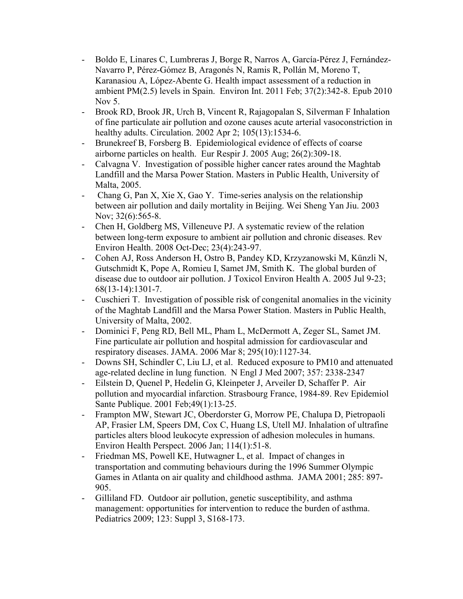- [Boldo E,](http://www.ncbi.nlm.nih.gov/pubmed?term=%22Boldo%20E%22%5BAuthor%5D) [Linares C,](http://www.ncbi.nlm.nih.gov/pubmed?term=%22Linares%20C%22%5BAuthor%5D) [Lumbreras J](http://www.ncbi.nlm.nih.gov/pubmed?term=%22Lumbreras%20J%22%5BAuthor%5D), [Borge R](http://www.ncbi.nlm.nih.gov/pubmed?term=%22Borge%20R%22%5BAuthor%5D), [Narros A,](http://www.ncbi.nlm.nih.gov/pubmed?term=%22Narros%20A%22%5BAuthor%5D) [García-Pérez J](http://www.ncbi.nlm.nih.gov/pubmed?term=%22Garc%C3%ADa-P%C3%A9rez%20J%22%5BAuthor%5D), [Fernández-](http://www.ncbi.nlm.nih.gov/pubmed?term=%22Fern%C3%A1ndez-Navarro%20P%22%5BAuthor%5D)[Navarro P](http://www.ncbi.nlm.nih.gov/pubmed?term=%22Fern%C3%A1ndez-Navarro%20P%22%5BAuthor%5D), [Pérez-Gómez B](http://www.ncbi.nlm.nih.gov/pubmed?term=%22P%C3%A9rez-G%C3%B3mez%20B%22%5BAuthor%5D), [Aragonés N,](http://www.ncbi.nlm.nih.gov/pubmed?term=%22Aragon%C3%A9s%20N%22%5BAuthor%5D) [Ramis R,](http://www.ncbi.nlm.nih.gov/pubmed?term=%22Ramis%20R%22%5BAuthor%5D) [Pollán M,](http://www.ncbi.nlm.nih.gov/pubmed?term=%22Poll%C3%A1n%20M%22%5BAuthor%5D) [Moreno T](http://www.ncbi.nlm.nih.gov/pubmed?term=%22Moreno%20T%22%5BAuthor%5D), [Karanasiou A](http://www.ncbi.nlm.nih.gov/pubmed?term=%22Karanasiou%20A%22%5BAuthor%5D), [López-Abente G.](http://www.ncbi.nlm.nih.gov/pubmed?term=%22L%C3%B3pez-Abente%20G%22%5BAuthor%5D) Health impact assessment of a reduction in ambient PM(2.5) levels in Spain. [Environ Int.](http://www.ncbi.nlm.nih.gov/pubmed/21056471##) 2011 Feb; 37(2):342-8. Epub 2010 Nov 5.
- [Brook RD,](http://www.ncbi.nlm.nih.gov/entrez/query.fcgi?db=pubmed&cmd=Search&itool=pubmed_AbstractPlus&term=%22Brook+RD%22%5BAuthor%5D) [Brook JR](http://www.ncbi.nlm.nih.gov/entrez/query.fcgi?db=pubmed&cmd=Search&itool=pubmed_AbstractPlus&term=%22Brook+JR%22%5BAuthor%5D), [Urch B](http://www.ncbi.nlm.nih.gov/entrez/query.fcgi?db=pubmed&cmd=Search&itool=pubmed_AbstractPlus&term=%22Urch+B%22%5BAuthor%5D), [Vincent R,](http://www.ncbi.nlm.nih.gov/entrez/query.fcgi?db=pubmed&cmd=Search&itool=pubmed_AbstractPlus&term=%22Vincent+R%22%5BAuthor%5D) [Rajagopalan S](http://www.ncbi.nlm.nih.gov/entrez/query.fcgi?db=pubmed&cmd=Search&itool=pubmed_AbstractPlus&term=%22Rajagopalan+S%22%5BAuthor%5D), [Silverman F](http://www.ncbi.nlm.nih.gov/entrez/query.fcgi?db=pubmed&cmd=Search&itool=pubmed_AbstractPlus&term=%22Silverman+F%22%5BAuthor%5D) Inhalation of fine particulate air pollution and ozone causes acute arterial vasoconstriction in healthy adults. Circulation. 2002 Apr 2; 105(13):1534-6.
- [Brunekreef B,](http://www.ncbi.nlm.nih.gov/pubmed?term=%22Brunekreef%20B%22%5BAuthor%5D) [Forsberg B.](http://www.ncbi.nlm.nih.gov/pubmed?term=%22Forsberg%20B%22%5BAuthor%5D) Epidemiological evidence of effects of coarse airborne particles on health. [Eur Respir J.](http://www.ncbi.nlm.nih.gov/pubmed/16055881##) 2005 Aug; 26(2):309-18.
- Calvagna V. Investigation of possible higher cancer rates around the Maghtab Landfill and the Marsa Power Station. Masters in Public Health, University of Malta, 2005.
- - [Chang G,](http://www.ncbi.nlm.nih.gov/entrez/query.fcgi?db=pubmed&cmd=Search&itool=pubmed_AbstractPlus&term=%22Chang+G%22%5BAuthor%5D) [Pan X,](http://www.ncbi.nlm.nih.gov/entrez/query.fcgi?db=pubmed&cmd=Search&itool=pubmed_AbstractPlus&term=%22Pan+X%22%5BAuthor%5D) [Xie X,](http://www.ncbi.nlm.nih.gov/entrez/query.fcgi?db=pubmed&cmd=Search&itool=pubmed_AbstractPlus&term=%22Xie+X%22%5BAuthor%5D) [Gao Y](http://www.ncbi.nlm.nih.gov/entrez/query.fcgi?db=pubmed&cmd=Search&itool=pubmed_AbstractPlus&term=%22Gao+Y%22%5BAuthor%5D). Time-series analysis on the relationship between air pollution and daily mortality in Beijing. Wei Sheng Yan Jiu. 2003 Nov; 32(6):565-8.
- [Chen H,](http://www.ncbi.nlm.nih.gov/pubmed?term=%22Chen%20H%22%5BAuthor%5D) [Goldberg MS](http://www.ncbi.nlm.nih.gov/pubmed?term=%22Goldberg%20MS%22%5BAuthor%5D), [Villeneuve PJ](http://www.ncbi.nlm.nih.gov/pubmed?term=%22Villeneuve%20PJ%22%5BAuthor%5D). A systematic review of the relation between long-term exposure to ambient air pollution and chronic diseases. [Rev](http://www.ncbi.nlm.nih.gov/pubmed/19235364##)  [Environ Health.](http://www.ncbi.nlm.nih.gov/pubmed/19235364##) 2008 Oct-Dec; 23(4):243-97.
- [Cohen AJ,](http://www.ncbi.nlm.nih.gov/pubmed?term=%22Cohen%20AJ%22%5BAuthor%5D) [Ross Anderson H](http://www.ncbi.nlm.nih.gov/pubmed?term=%22Ross%20Anderson%20H%22%5BAuthor%5D), [Ostro B,](http://www.ncbi.nlm.nih.gov/pubmed?term=%22Ostro%20B%22%5BAuthor%5D) [Pandey KD,](http://www.ncbi.nlm.nih.gov/pubmed?term=%22Pandey%20KD%22%5BAuthor%5D) [Krzyzanowski M,](http://www.ncbi.nlm.nih.gov/pubmed?term=%22Krzyzanowski%20M%22%5BAuthor%5D) [Künzli N](http://www.ncbi.nlm.nih.gov/pubmed?term=%22K%C3%BCnzli%20N%22%5BAuthor%5D), [Gutschmidt K,](http://www.ncbi.nlm.nih.gov/pubmed?term=%22Gutschmidt%20K%22%5BAuthor%5D) [Pope A](http://www.ncbi.nlm.nih.gov/pubmed?term=%22Pope%20A%22%5BAuthor%5D), [Romieu I,](http://www.ncbi.nlm.nih.gov/pubmed?term=%22Romieu%20I%22%5BAuthor%5D) [Samet JM](http://www.ncbi.nlm.nih.gov/pubmed?term=%22Samet%20JM%22%5BAuthor%5D), [Smith K.](http://www.ncbi.nlm.nih.gov/pubmed?term=%22Smith%20K%22%5BAuthor%5D) The global burden of disease due to outdoor air pollution. [J Toxicol Environ Health A.](http://www.ncbi.nlm.nih.gov/pubmed/16024504##) 2005 Jul 9-23; 68(13-14):1301-7.
- Cuschieri T. Investigation of possible risk of congenital anomalies in the vicinity of the Maghtab Landfill and the Marsa Power Station. Masters in Public Health, University of Malta, 2002.
- [Dominici F](http://www.ncbi.nlm.nih.gov/entrez/query.fcgi?db=pubmed&cmd=Search&itool=pubmed_AbstractPlus&term=%22Dominici+F%22%5BAuthor%5D), [Peng RD,](http://www.ncbi.nlm.nih.gov/entrez/query.fcgi?db=pubmed&cmd=Search&itool=pubmed_AbstractPlus&term=%22Peng+RD%22%5BAuthor%5D) [Bell ML](http://www.ncbi.nlm.nih.gov/entrez/query.fcgi?db=pubmed&cmd=Search&itool=pubmed_AbstractPlus&term=%22Bell+ML%22%5BAuthor%5D), [Pham L,](http://www.ncbi.nlm.nih.gov/entrez/query.fcgi?db=pubmed&cmd=Search&itool=pubmed_AbstractPlus&term=%22Pham+L%22%5BAuthor%5D) [McDermott A](http://www.ncbi.nlm.nih.gov/entrez/query.fcgi?db=pubmed&cmd=Search&itool=pubmed_AbstractPlus&term=%22McDermott+A%22%5BAuthor%5D), [Zeger SL,](http://www.ncbi.nlm.nih.gov/entrez/query.fcgi?db=pubmed&cmd=Search&itool=pubmed_AbstractPlus&term=%22Zeger+SL%22%5BAuthor%5D) [Samet JM](http://www.ncbi.nlm.nih.gov/entrez/query.fcgi?db=pubmed&cmd=Search&itool=pubmed_AbstractPlus&term=%22Samet+JM%22%5BAuthor%5D). Fine particulate air pollution and hospital admission for cardiovascular and respiratory diseases. JAMA. 2006 Mar 8; 295(10):1127-34.
- Downs SH, Schindler C, Liu LJ, et al. Reduced exposure to PM10 and attenuated age-related decline in lung function. N Engl J Med 2007; 357: 2338-2347
- [Eilstein D](http://www.ncbi.nlm.nih.gov/entrez/query.fcgi?db=pubmed&cmd=Search&itool=pubmed_AbstractPlus&term=%22Eilstein+D%22%5BAuthor%5D), [Quenel P,](http://www.ncbi.nlm.nih.gov/entrez/query.fcgi?db=pubmed&cmd=Search&itool=pubmed_AbstractPlus&term=%22Quenel+P%22%5BAuthor%5D) [Hedelin G](http://www.ncbi.nlm.nih.gov/entrez/query.fcgi?db=pubmed&cmd=Search&itool=pubmed_AbstractPlus&term=%22Hedelin+G%22%5BAuthor%5D), [Kleinpeter J](http://www.ncbi.nlm.nih.gov/entrez/query.fcgi?db=pubmed&cmd=Search&itool=pubmed_AbstractPlus&term=%22Kleinpeter+J%22%5BAuthor%5D), [Arveiler D](http://www.ncbi.nlm.nih.gov/entrez/query.fcgi?db=pubmed&cmd=Search&itool=pubmed_AbstractPlus&term=%22Arveiler+D%22%5BAuthor%5D), [Schaffer P.](http://www.ncbi.nlm.nih.gov/entrez/query.fcgi?db=pubmed&cmd=Search&itool=pubmed_AbstractPlus&term=%22Schaffer+P%22%5BAuthor%5D) Air pollution and myocardial infarction. Strasbourg France, 1984-89. Rev Epidemiol Sante Publique. 2001 Feb;49(1):13-25.
- [Frampton MW](http://www.ncbi.nlm.nih.gov/entrez/query.fcgi?db=pubmed&cmd=Search&itool=pubmed_AbstractPlus&term=%22Frampton+MW%22%5BAuthor%5D), [Stewart JC](http://www.ncbi.nlm.nih.gov/entrez/query.fcgi?db=pubmed&cmd=Search&itool=pubmed_AbstractPlus&term=%22Stewart+JC%22%5BAuthor%5D), [Oberdorster G,](http://www.ncbi.nlm.nih.gov/entrez/query.fcgi?db=pubmed&cmd=Search&itool=pubmed_AbstractPlus&term=%22Oberdorster+G%22%5BAuthor%5D) [Morrow PE,](http://www.ncbi.nlm.nih.gov/entrez/query.fcgi?db=pubmed&cmd=Search&itool=pubmed_AbstractPlus&term=%22Morrow+PE%22%5BAuthor%5D) [Chalupa D,](http://www.ncbi.nlm.nih.gov/entrez/query.fcgi?db=pubmed&cmd=Search&itool=pubmed_AbstractPlus&term=%22Chalupa+D%22%5BAuthor%5D) [Pietropaoli](http://www.ncbi.nlm.nih.gov/entrez/query.fcgi?db=pubmed&cmd=Search&itool=pubmed_AbstractPlus&term=%22Pietropaoli+AP%22%5BAuthor%5D) [AP,](http://www.ncbi.nlm.nih.gov/entrez/query.fcgi?db=pubmed&cmd=Search&itool=pubmed_AbstractPlus&term=%22Pietropaoli+AP%22%5BAuthor%5D) [Frasier LM,](http://www.ncbi.nlm.nih.gov/entrez/query.fcgi?db=pubmed&cmd=Search&itool=pubmed_AbstractPlus&term=%22Frasier+LM%22%5BAuthor%5D) [Speers DM,](http://www.ncbi.nlm.nih.gov/entrez/query.fcgi?db=pubmed&cmd=Search&itool=pubmed_AbstractPlus&term=%22Speers+DM%22%5BAuthor%5D) [Cox C](http://www.ncbi.nlm.nih.gov/entrez/query.fcgi?db=pubmed&cmd=Search&itool=pubmed_AbstractPlus&term=%22Cox+C%22%5BAuthor%5D), [Huang LS,](http://www.ncbi.nlm.nih.gov/entrez/query.fcgi?db=pubmed&cmd=Search&itool=pubmed_AbstractPlus&term=%22Huang+LS%22%5BAuthor%5D) [Utell MJ](http://www.ncbi.nlm.nih.gov/entrez/query.fcgi?db=pubmed&cmd=Search&itool=pubmed_AbstractPlus&term=%22Utell+MJ%22%5BAuthor%5D). Inhalation of ultrafine particles alters blood leukocyte expression of adhesion molecules in humans. Environ Health Perspect. 2006 Jan; 114(1):51-8.
- Friedman MS, Powell KE, Hutwagner L, et al. Impact of changes in transportation and commuting behaviours during the 1996 Summer Olympic Games in Atlanta on air quality and childhood asthma. JAMA 2001; 285: 897- 905.
- Gilliland FD. Outdoor air pollution, genetic susceptibility, and asthma management: opportunities for intervention to reduce the burden of asthma. Pediatrics 2009; 123: Suppl 3, S168-173.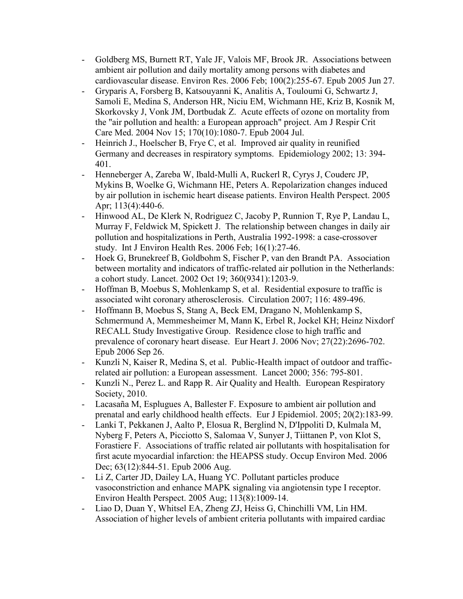- [Goldberg MS,](http://www.ncbi.nlm.nih.gov/entrez/query.fcgi?db=pubmed&cmd=Search&itool=pubmed_AbstractPlus&term=%22Goldberg+MS%22%5BAuthor%5D) [Burnett RT](http://www.ncbi.nlm.nih.gov/entrez/query.fcgi?db=pubmed&cmd=Search&itool=pubmed_AbstractPlus&term=%22Burnett+RT%22%5BAuthor%5D), [Yale JF](http://www.ncbi.nlm.nih.gov/entrez/query.fcgi?db=pubmed&cmd=Search&itool=pubmed_AbstractPlus&term=%22Yale+JF%22%5BAuthor%5D), [Valois MF](http://www.ncbi.nlm.nih.gov/entrez/query.fcgi?db=pubmed&cmd=Search&itool=pubmed_AbstractPlus&term=%22Valois+MF%22%5BAuthor%5D), [Brook JR](http://www.ncbi.nlm.nih.gov/entrez/query.fcgi?db=pubmed&cmd=Search&itool=pubmed_AbstractPlus&term=%22Brook+JR%22%5BAuthor%5D). Associations between ambient air pollution and daily mortality among persons with diabetes and cardiovascular disease. Environ Res. 2006 Feb; 100(2):255-67. Epub 2005 Jun 27.
- [Gryparis A,](http://www.ncbi.nlm.nih.gov/entrez/query.fcgi?db=pubmed&cmd=Search&itool=pubmed_AbstractPlus&term=%22Gryparis+A%22%5BAuthor%5D) [Forsberg B](http://www.ncbi.nlm.nih.gov/entrez/query.fcgi?db=pubmed&cmd=Search&itool=pubmed_AbstractPlus&term=%22Forsberg+B%22%5BAuthor%5D), [Katsouyanni K,](http://www.ncbi.nlm.nih.gov/entrez/query.fcgi?db=pubmed&cmd=Search&itool=pubmed_AbstractPlus&term=%22Katsouyanni+K%22%5BAuthor%5D) [Analitis A](http://www.ncbi.nlm.nih.gov/entrez/query.fcgi?db=pubmed&cmd=Search&itool=pubmed_AbstractPlus&term=%22Analitis+A%22%5BAuthor%5D), [Touloumi G](http://www.ncbi.nlm.nih.gov/entrez/query.fcgi?db=pubmed&cmd=Search&itool=pubmed_AbstractPlus&term=%22Touloumi+G%22%5BAuthor%5D), [Schwartz J](http://www.ncbi.nlm.nih.gov/entrez/query.fcgi?db=pubmed&cmd=Search&itool=pubmed_AbstractPlus&term=%22Schwartz+J%22%5BAuthor%5D), [Samoli E](http://www.ncbi.nlm.nih.gov/entrez/query.fcgi?db=pubmed&cmd=Search&itool=pubmed_AbstractPlus&term=%22Samoli+E%22%5BAuthor%5D), [Medina S](http://www.ncbi.nlm.nih.gov/entrez/query.fcgi?db=pubmed&cmd=Search&itool=pubmed_AbstractPlus&term=%22Medina+S%22%5BAuthor%5D), [Anderson HR,](http://www.ncbi.nlm.nih.gov/entrez/query.fcgi?db=pubmed&cmd=Search&itool=pubmed_AbstractPlus&term=%22Anderson+HR%22%5BAuthor%5D) [Niciu EM](http://www.ncbi.nlm.nih.gov/entrez/query.fcgi?db=pubmed&cmd=Search&itool=pubmed_AbstractPlus&term=%22Niciu+EM%22%5BAuthor%5D), [Wichmann HE](http://www.ncbi.nlm.nih.gov/entrez/query.fcgi?db=pubmed&cmd=Search&itool=pubmed_AbstractPlus&term=%22Wichmann+HE%22%5BAuthor%5D), [Kriz B,](http://www.ncbi.nlm.nih.gov/entrez/query.fcgi?db=pubmed&cmd=Search&itool=pubmed_AbstractPlus&term=%22Kriz+B%22%5BAuthor%5D) [Kosnik M](http://www.ncbi.nlm.nih.gov/entrez/query.fcgi?db=pubmed&cmd=Search&itool=pubmed_AbstractPlus&term=%22Kosnik+M%22%5BAuthor%5D), [Skorkovsky J](http://www.ncbi.nlm.nih.gov/entrez/query.fcgi?db=pubmed&cmd=Search&itool=pubmed_AbstractPlus&term=%22Skorkovsky+J%22%5BAuthor%5D), [Vonk JM](http://www.ncbi.nlm.nih.gov/entrez/query.fcgi?db=pubmed&cmd=Search&itool=pubmed_AbstractPlus&term=%22Vonk+JM%22%5BAuthor%5D), [Dortbudak Z.](http://www.ncbi.nlm.nih.gov/entrez/query.fcgi?db=pubmed&cmd=Search&itool=pubmed_AbstractPlus&term=%22Dortbudak+Z%22%5BAuthor%5D) Acute effects of ozone on mortality from the "air pollution and health: a European approach" project. Am J Respir Crit Care Med. 2004 Nov 15; 170(10):1080-7. Epub 2004 Jul.
- Heinrich J., Hoelscher B, Frye C, et al. Improved air quality in reunified Germany and decreases in respiratory symptoms. Epidemiology 2002; 13: 394- 401.
- [Henneberger A,](http://www.ncbi.nlm.nih.gov/entrez/query.fcgi?db=pubmed&cmd=Search&itool=pubmed_AbstractPlus&term=%22Henneberger+A%22%5BAuthor%5D) [Zareba W](http://www.ncbi.nlm.nih.gov/entrez/query.fcgi?db=pubmed&cmd=Search&itool=pubmed_AbstractPlus&term=%22Zareba+W%22%5BAuthor%5D), [Ibald-Mulli A,](http://www.ncbi.nlm.nih.gov/entrez/query.fcgi?db=pubmed&cmd=Search&itool=pubmed_AbstractPlus&term=%22Ibald%2DMulli+A%22%5BAuthor%5D) [Ruckerl R,](http://www.ncbi.nlm.nih.gov/entrez/query.fcgi?db=pubmed&cmd=Search&itool=pubmed_AbstractPlus&term=%22Ruckerl+R%22%5BAuthor%5D) [Cyrys J,](http://www.ncbi.nlm.nih.gov/entrez/query.fcgi?db=pubmed&cmd=Search&itool=pubmed_AbstractPlus&term=%22Cyrys+J%22%5BAuthor%5D) [Couderc JP](http://www.ncbi.nlm.nih.gov/entrez/query.fcgi?db=pubmed&cmd=Search&itool=pubmed_AbstractPlus&term=%22Couderc+JP%22%5BAuthor%5D), [Mykins B,](http://www.ncbi.nlm.nih.gov/entrez/query.fcgi?db=pubmed&cmd=Search&itool=pubmed_AbstractPlus&term=%22Mykins+B%22%5BAuthor%5D) [Woelke G](http://www.ncbi.nlm.nih.gov/entrez/query.fcgi?db=pubmed&cmd=Search&itool=pubmed_AbstractPlus&term=%22Woelke+G%22%5BAuthor%5D), [Wichmann HE](http://www.ncbi.nlm.nih.gov/entrez/query.fcgi?db=pubmed&cmd=Search&itool=pubmed_AbstractPlus&term=%22Wichmann+HE%22%5BAuthor%5D), [Peters A.](http://www.ncbi.nlm.nih.gov/entrez/query.fcgi?db=pubmed&cmd=Search&itool=pubmed_AbstractPlus&term=%22Peters+A%22%5BAuthor%5D) Repolarization changes induced by air pollution in ischemic heart disease patients. Environ Health Perspect. 2005 Apr; 113(4):440-6.
- [Hinwood AL,](http://www.ncbi.nlm.nih.gov/entrez/query.fcgi?db=pubmed&cmd=Search&itool=pubmed_AbstractPlus&term=%22Hinwood+AL%22%5BAuthor%5D) [De Klerk N,](http://www.ncbi.nlm.nih.gov/entrez/query.fcgi?db=pubmed&cmd=Search&itool=pubmed_AbstractPlus&term=%22De+Klerk+N%22%5BAuthor%5D) [Rodriguez C](http://www.ncbi.nlm.nih.gov/entrez/query.fcgi?db=pubmed&cmd=Search&itool=pubmed_AbstractPlus&term=%22Rodriguez+C%22%5BAuthor%5D), [Jacoby P](http://www.ncbi.nlm.nih.gov/entrez/query.fcgi?db=pubmed&cmd=Search&itool=pubmed_AbstractPlus&term=%22Jacoby+P%22%5BAuthor%5D), [Runnion T](http://www.ncbi.nlm.nih.gov/entrez/query.fcgi?db=pubmed&cmd=Search&itool=pubmed_AbstractPlus&term=%22Runnion+T%22%5BAuthor%5D), [Rye P](http://www.ncbi.nlm.nih.gov/entrez/query.fcgi?db=pubmed&cmd=Search&itool=pubmed_AbstractPlus&term=%22Rye+P%22%5BAuthor%5D), [Landau L,](http://www.ncbi.nlm.nih.gov/entrez/query.fcgi?db=pubmed&cmd=Search&itool=pubmed_AbstractPlus&term=%22Landau+L%22%5BAuthor%5D) [Murray F,](http://www.ncbi.nlm.nih.gov/entrez/query.fcgi?db=pubmed&cmd=Search&itool=pubmed_AbstractPlus&term=%22Murray+F%22%5BAuthor%5D) [Feldwick M](http://www.ncbi.nlm.nih.gov/entrez/query.fcgi?db=pubmed&cmd=Search&itool=pubmed_AbstractPlus&term=%22Feldwick+M%22%5BAuthor%5D), [Spickett J](http://www.ncbi.nlm.nih.gov/entrez/query.fcgi?db=pubmed&cmd=Search&itool=pubmed_AbstractPlus&term=%22Spickett+J%22%5BAuthor%5D). The relationship between changes in daily air pollution and hospitalizations in Perth, Australia 1992-1998: a case-crossover study. Int J Environ Health Res. 2006 Feb; 16(1):27-46.
- [Hoek G,](http://www.ncbi.nlm.nih.gov/entrez/query.fcgi?db=pubmed&cmd=Search&itool=pubmed_AbstractPlus&term=%22Hoek+G%22%5BAuthor%5D) [Brunekreef B](http://www.ncbi.nlm.nih.gov/entrez/query.fcgi?db=pubmed&cmd=Search&itool=pubmed_AbstractPlus&term=%22Brunekreef+B%22%5BAuthor%5D), [Goldbohm S](http://www.ncbi.nlm.nih.gov/entrez/query.fcgi?db=pubmed&cmd=Search&itool=pubmed_AbstractPlus&term=%22Goldbohm+S%22%5BAuthor%5D), [Fischer P](http://www.ncbi.nlm.nih.gov/entrez/query.fcgi?db=pubmed&cmd=Search&itool=pubmed_AbstractPlus&term=%22Fischer+P%22%5BAuthor%5D), [van den Brandt PA.](http://www.ncbi.nlm.nih.gov/entrez/query.fcgi?db=pubmed&cmd=Search&itool=pubmed_AbstractPlus&term=%22van+den+Brandt+PA%22%5BAuthor%5D) Association between mortality and indicators of traffic-related air pollution in the Netherlands: a cohort study. Lancet. 2002 Oct 19; 360(9341):1203-9.
- Hoffman B, Moebus S, Mohlenkamp S, et al. Residential exposure to traffic is associated wiht coronary atherosclerosis. Circulation 2007; 116: 489-496.
- [Hoffmann B,](http://www.ncbi.nlm.nih.gov/entrez/query.fcgi?db=pubmed&cmd=Search&itool=pubmed_AbstractPlus&term=%22Hoffmann+B%22%5BAuthor%5D) [Moebus S](http://www.ncbi.nlm.nih.gov/entrez/query.fcgi?db=pubmed&cmd=Search&itool=pubmed_AbstractPlus&term=%22Moebus+S%22%5BAuthor%5D), [Stang A,](http://www.ncbi.nlm.nih.gov/entrez/query.fcgi?db=pubmed&cmd=Search&itool=pubmed_AbstractPlus&term=%22Stang+A%22%5BAuthor%5D) [Beck EM](http://www.ncbi.nlm.nih.gov/entrez/query.fcgi?db=pubmed&cmd=Search&itool=pubmed_AbstractPlus&term=%22Beck+EM%22%5BAuthor%5D), [Dragano N](http://www.ncbi.nlm.nih.gov/entrez/query.fcgi?db=pubmed&cmd=Search&itool=pubmed_AbstractPlus&term=%22Dragano+N%22%5BAuthor%5D), [Mohlenkamp S,](http://www.ncbi.nlm.nih.gov/entrez/query.fcgi?db=pubmed&cmd=Search&itool=pubmed_AbstractPlus&term=%22Mohlenkamp+S%22%5BAuthor%5D) [Schmermund A,](http://www.ncbi.nlm.nih.gov/entrez/query.fcgi?db=pubmed&cmd=Search&itool=pubmed_AbstractPlus&term=%22Schmermund+A%22%5BAuthor%5D) [Memmesheimer M](http://www.ncbi.nlm.nih.gov/entrez/query.fcgi?db=pubmed&cmd=Search&itool=pubmed_AbstractPlus&term=%22Memmesheimer+M%22%5BAuthor%5D), [Mann K,](http://www.ncbi.nlm.nih.gov/entrez/query.fcgi?db=pubmed&cmd=Search&itool=pubmed_AbstractPlus&term=%22Mann+K%22%5BAuthor%5D) [Erbel R,](http://www.ncbi.nlm.nih.gov/entrez/query.fcgi?db=pubmed&cmd=Search&itool=pubmed_AbstractPlus&term=%22Erbel+R%22%5BAuthor%5D) [Jockel KH;](http://www.ncbi.nlm.nih.gov/entrez/query.fcgi?db=pubmed&cmd=Search&itool=pubmed_AbstractPlus&term=%22Jockel+KH%22%5BAuthor%5D) [Heinz Nixdorf](http://www.ncbi.nlm.nih.gov/entrez/query.fcgi?db=pubmed&cmd=Search&itool=pubmed_AbstractPlus&term=%22Heinz+Nixdorf+RECALL+Study+Investigative+Group%22%5BCorporate+Author%5D)  [RECALL Study Investigative Group.](http://www.ncbi.nlm.nih.gov/entrez/query.fcgi?db=pubmed&cmd=Search&itool=pubmed_AbstractPlus&term=%22Heinz+Nixdorf+RECALL+Study+Investigative+Group%22%5BCorporate+Author%5D) Residence close to high traffic and prevalence of coronary heart disease. Eur Heart J. 2006 Nov; 27(22):2696-702. Epub 2006 Sep 26.
- Kunzli N, Kaiser R, Medina S, et al. Public-Health impact of outdoor and trafficrelated air pollution: a European assessment. Lancet 2000; 356: 795-801.
- Kunzli N., Perez L. and Rapp R. Air Quality and Health. European Respiratory Society, 2010.
- [Lacasaña M](http://www.ncbi.nlm.nih.gov/pubmed?term=%22Lacasa%C3%B1a%20M%22%5BAuthor%5D), [Esplugues A,](http://www.ncbi.nlm.nih.gov/pubmed?term=%22Esplugues%20A%22%5BAuthor%5D) [Ballester F.](http://www.ncbi.nlm.nih.gov/pubmed?term=%22Ballester%20F%22%5BAuthor%5D) Exposure to ambient air pollution and prenatal and early childhood health effects. [Eur J Epidemiol.](http://www.ncbi.nlm.nih.gov/pubmed/15792286##) 2005; 20(2):183-99.
- [Lanki T](http://www.ncbi.nlm.nih.gov/entrez/query.fcgi?db=pubmed&cmd=Search&itool=pubmed_AbstractPlus&term=%22Lanki+T%22%5BAuthor%5D), [Pekkanen J](http://www.ncbi.nlm.nih.gov/entrez/query.fcgi?db=pubmed&cmd=Search&itool=pubmed_AbstractPlus&term=%22Pekkanen+J%22%5BAuthor%5D), [Aalto P](http://www.ncbi.nlm.nih.gov/entrez/query.fcgi?db=pubmed&cmd=Search&itool=pubmed_AbstractPlus&term=%22Aalto+P%22%5BAuthor%5D), [Elosua R,](http://www.ncbi.nlm.nih.gov/entrez/query.fcgi?db=pubmed&cmd=Search&itool=pubmed_AbstractPlus&term=%22Elosua+R%22%5BAuthor%5D) [Berglind N](http://www.ncbi.nlm.nih.gov/entrez/query.fcgi?db=pubmed&cmd=Search&itool=pubmed_AbstractPlus&term=%22Berglind+N%22%5BAuthor%5D), [D'Ippoliti D](http://www.ncbi.nlm.nih.gov/entrez/query.fcgi?db=pubmed&cmd=Search&itool=pubmed_AbstractPlus&term=%22D%27Ippoliti+D%22%5BAuthor%5D), [Kulmala M](http://www.ncbi.nlm.nih.gov/entrez/query.fcgi?db=pubmed&cmd=Search&itool=pubmed_AbstractPlus&term=%22Kulmala+M%22%5BAuthor%5D), [Nyberg F,](http://www.ncbi.nlm.nih.gov/entrez/query.fcgi?db=pubmed&cmd=Search&itool=pubmed_AbstractPlus&term=%22Nyberg+F%22%5BAuthor%5D) [Peters A,](http://www.ncbi.nlm.nih.gov/entrez/query.fcgi?db=pubmed&cmd=Search&itool=pubmed_AbstractPlus&term=%22Peters+A%22%5BAuthor%5D) [Picciotto S](http://www.ncbi.nlm.nih.gov/entrez/query.fcgi?db=pubmed&cmd=Search&itool=pubmed_AbstractPlus&term=%22Picciotto+S%22%5BAuthor%5D), [Salomaa V](http://www.ncbi.nlm.nih.gov/entrez/query.fcgi?db=pubmed&cmd=Search&itool=pubmed_AbstractPlus&term=%22Salomaa+V%22%5BAuthor%5D), [Sunyer J](http://www.ncbi.nlm.nih.gov/entrez/query.fcgi?db=pubmed&cmd=Search&itool=pubmed_AbstractPlus&term=%22Sunyer+J%22%5BAuthor%5D), [Tiittanen P](http://www.ncbi.nlm.nih.gov/entrez/query.fcgi?db=pubmed&cmd=Search&itool=pubmed_AbstractPlus&term=%22Tiittanen+P%22%5BAuthor%5D), [von Klot S,](http://www.ncbi.nlm.nih.gov/entrez/query.fcgi?db=pubmed&cmd=Search&itool=pubmed_AbstractPlus&term=%22von+Klot+S%22%5BAuthor%5D) [Forastiere F.](http://www.ncbi.nlm.nih.gov/entrez/query.fcgi?db=pubmed&cmd=Search&itool=pubmed_AbstractPlus&term=%22Forastiere+F%22%5BAuthor%5D) Associations of traffic related air pollutants with hospitalisation for first acute myocardial infarction: the HEAPSS study. Occup Environ Med. 2006 Dec; 63(12):844-51. Epub 2006 Aug.
- [Li Z,](http://www.ncbi.nlm.nih.gov/entrez/query.fcgi?db=pubmed&cmd=Search&itool=pubmed_AbstractPlus&term=%22Li+Z%22%5BAuthor%5D) [Carter JD](http://www.ncbi.nlm.nih.gov/entrez/query.fcgi?db=pubmed&cmd=Search&itool=pubmed_AbstractPlus&term=%22Carter+JD%22%5BAuthor%5D), [Dailey LA](http://www.ncbi.nlm.nih.gov/entrez/query.fcgi?db=pubmed&cmd=Search&itool=pubmed_AbstractPlus&term=%22Dailey+LA%22%5BAuthor%5D), [Huang YC.](http://www.ncbi.nlm.nih.gov/entrez/query.fcgi?db=pubmed&cmd=Search&itool=pubmed_AbstractPlus&term=%22Huang+YC%22%5BAuthor%5D) Pollutant particles produce vasoconstriction and enhance MAPK signaling via angiotensin type I receptor. Environ Health Perspect. 2005 Aug; 113(8):1009-14.
- [Liao D,](http://www.ncbi.nlm.nih.gov/entrez/query.fcgi?db=pubmed&cmd=Search&itool=pubmed_AbstractPlus&term=%22Liao+D%22%5BAuthor%5D) [Duan Y,](http://www.ncbi.nlm.nih.gov/entrez/query.fcgi?db=pubmed&cmd=Search&itool=pubmed_AbstractPlus&term=%22Duan+Y%22%5BAuthor%5D) [Whitsel EA,](http://www.ncbi.nlm.nih.gov/entrez/query.fcgi?db=pubmed&cmd=Search&itool=pubmed_AbstractPlus&term=%22Whitsel+EA%22%5BAuthor%5D) [Zheng ZJ](http://www.ncbi.nlm.nih.gov/entrez/query.fcgi?db=pubmed&cmd=Search&itool=pubmed_AbstractPlus&term=%22Zheng+ZJ%22%5BAuthor%5D), [Heiss G,](http://www.ncbi.nlm.nih.gov/entrez/query.fcgi?db=pubmed&cmd=Search&itool=pubmed_AbstractPlus&term=%22Heiss+G%22%5BAuthor%5D) [Chinchilli VM](http://www.ncbi.nlm.nih.gov/entrez/query.fcgi?db=pubmed&cmd=Search&itool=pubmed_AbstractPlus&term=%22Chinchilli+VM%22%5BAuthor%5D), [Lin HM.](http://www.ncbi.nlm.nih.gov/entrez/query.fcgi?db=pubmed&cmd=Search&itool=pubmed_AbstractPlus&term=%22Lin+HM%22%5BAuthor%5D) Association of higher levels of ambient criteria pollutants with impaired cardiac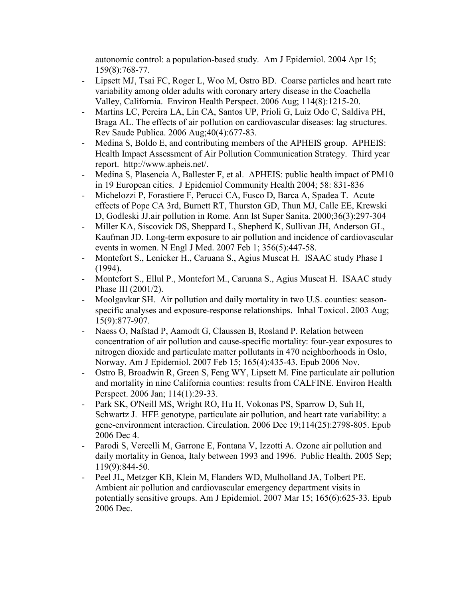autonomic control: a population-based study. Am J Epidemiol. 2004 Apr 15; 159(8):768-77.

- [Lipsett MJ,](http://www.ncbi.nlm.nih.gov/entrez/query.fcgi?db=pubmed&cmd=Search&itool=pubmed_AbstractPlus&term=%22Lipsett+MJ%22%5BAuthor%5D) [Tsai FC](http://www.ncbi.nlm.nih.gov/entrez/query.fcgi?db=pubmed&cmd=Search&itool=pubmed_AbstractPlus&term=%22Tsai+FC%22%5BAuthor%5D), [Roger L,](http://www.ncbi.nlm.nih.gov/entrez/query.fcgi?db=pubmed&cmd=Search&itool=pubmed_AbstractPlus&term=%22Roger+L%22%5BAuthor%5D) [Woo M](http://www.ncbi.nlm.nih.gov/entrez/query.fcgi?db=pubmed&cmd=Search&itool=pubmed_AbstractPlus&term=%22Woo+M%22%5BAuthor%5D), [Ostro BD.](http://www.ncbi.nlm.nih.gov/entrez/query.fcgi?db=pubmed&cmd=Search&itool=pubmed_AbstractPlus&term=%22Ostro+BD%22%5BAuthor%5D) Coarse particles and heart rate variability among older adults with coronary artery disease in the Coachella Valley, California. Environ Health Perspect. 2006 Aug; 114(8):1215-20.
- [Martins LC,](http://www.ncbi.nlm.nih.gov/entrez/query.fcgi?db=pubmed&cmd=Search&itool=pubmed_AbstractPlus&term=%22Martins+LC%22%5BAuthor%5D) [Pereira LA,](http://www.ncbi.nlm.nih.gov/entrez/query.fcgi?db=pubmed&cmd=Search&itool=pubmed_AbstractPlus&term=%22Pereira+LA%22%5BAuthor%5D) [Lin CA,](http://www.ncbi.nlm.nih.gov/entrez/query.fcgi?db=pubmed&cmd=Search&itool=pubmed_AbstractPlus&term=%22Lin+CA%22%5BAuthor%5D) [Santos UP,](http://www.ncbi.nlm.nih.gov/entrez/query.fcgi?db=pubmed&cmd=Search&itool=pubmed_AbstractPlus&term=%22Santos+UP%22%5BAuthor%5D) [Prioli G,](http://www.ncbi.nlm.nih.gov/entrez/query.fcgi?db=pubmed&cmd=Search&itool=pubmed_AbstractPlus&term=%22Prioli+G%22%5BAuthor%5D) [Luiz Odo C,](http://www.ncbi.nlm.nih.gov/entrez/query.fcgi?db=pubmed&cmd=Search&itool=pubmed_AbstractPlus&term=%22Luiz+Odo+C%22%5BAuthor%5D) [Saldiva PH,](http://www.ncbi.nlm.nih.gov/entrez/query.fcgi?db=pubmed&cmd=Search&itool=pubmed_AbstractPlus&term=%22Saldiva+PH%22%5BAuthor%5D) [Braga AL.](http://www.ncbi.nlm.nih.gov/entrez/query.fcgi?db=pubmed&cmd=Search&itool=pubmed_AbstractPlus&term=%22Braga+AL%22%5BAuthor%5D) The effects of air pollution on cardiovascular diseases: lag structures. Rev Saude Publica. 2006 Aug;40(4):677-83.
- Medina S, Boldo E, and contributing members of the APHEIS group. APHEIS: Health Impact Assessment of Air Pollution Communication Strategy. Third year report. <http://www.apheis.net/>.
- Medina S, Plasencia A, Ballester F, et al. APHEIS: public health impact of PM10 in 19 European cities. J Epidemiol Community Health 2004; 58: 831-836
- [Michelozzi P,](http://www.ncbi.nlm.nih.gov/entrez/query.fcgi?db=pubmed&cmd=Search&itool=pubmed_AbstractPlus&term=%22Michelozzi+P%22%5BAuthor%5D) [Forastiere F](http://www.ncbi.nlm.nih.gov/entrez/query.fcgi?db=pubmed&cmd=Search&itool=pubmed_AbstractPlus&term=%22Forastiere+F%22%5BAuthor%5D), [Perucci CA,](http://www.ncbi.nlm.nih.gov/entrez/query.fcgi?db=pubmed&cmd=Search&itool=pubmed_AbstractPlus&term=%22Perucci+CA%22%5BAuthor%5D) [Fusco D](http://www.ncbi.nlm.nih.gov/entrez/query.fcgi?db=pubmed&cmd=Search&itool=pubmed_AbstractPlus&term=%22Fusco+D%22%5BAuthor%5D), [Barca A,](http://www.ncbi.nlm.nih.gov/entrez/query.fcgi?db=pubmed&cmd=Search&itool=pubmed_AbstractPlus&term=%22Barca+A%22%5BAuthor%5D) [Spadea T](http://www.ncbi.nlm.nih.gov/entrez/query.fcgi?db=pubmed&cmd=Search&itool=pubmed_AbstractPlus&term=%22Spadea+T%22%5BAuthor%5D). Acute effects of [Pope CA 3rd,](http://www.ncbi.nlm.nih.gov/entrez/query.fcgi?db=pubmed&cmd=Search&itool=pubmed_AbstractPlus&term=%22Pope+CA+3rd%22%5BAuthor%5D) [Burnett RT,](http://www.ncbi.nlm.nih.gov/entrez/query.fcgi?db=pubmed&cmd=Search&itool=pubmed_AbstractPlus&term=%22Burnett+RT%22%5BAuthor%5D) [Thurston GD,](http://www.ncbi.nlm.nih.gov/entrez/query.fcgi?db=pubmed&cmd=Search&itool=pubmed_AbstractPlus&term=%22Thurston+GD%22%5BAuthor%5D) [Thun MJ](http://www.ncbi.nlm.nih.gov/entrez/query.fcgi?db=pubmed&cmd=Search&itool=pubmed_AbstractPlus&term=%22Thun+MJ%22%5BAuthor%5D), [Calle EE,](http://www.ncbi.nlm.nih.gov/entrez/query.fcgi?db=pubmed&cmd=Search&itool=pubmed_AbstractPlus&term=%22Calle+EE%22%5BAuthor%5D) [Krewski](http://www.ncbi.nlm.nih.gov/entrez/query.fcgi?db=pubmed&cmd=Search&itool=pubmed_AbstractPlus&term=%22Krewski+D%22%5BAuthor%5D)  [D,](http://www.ncbi.nlm.nih.gov/entrez/query.fcgi?db=pubmed&cmd=Search&itool=pubmed_AbstractPlus&term=%22Krewski+D%22%5BAuthor%5D) [Godleski JJ](http://www.ncbi.nlm.nih.gov/entrez/query.fcgi?db=pubmed&cmd=Search&itool=pubmed_AbstractPlus&term=%22Godleski+JJ%22%5BAuthor%5D).air pollution in Rome. Ann Ist Super Sanita. 2000;36(3):297-304
- [Miller KA,](http://www.ncbi.nlm.nih.gov/entrez/query.fcgi?db=pubmed&cmd=Search&itool=pubmed_AbstractPlus&term=%22Miller+KA%22%5BAuthor%5D) [Siscovick DS](http://www.ncbi.nlm.nih.gov/entrez/query.fcgi?db=pubmed&cmd=Search&itool=pubmed_AbstractPlus&term=%22Siscovick+DS%22%5BAuthor%5D), [Sheppard L,](http://www.ncbi.nlm.nih.gov/entrez/query.fcgi?db=pubmed&cmd=Search&itool=pubmed_AbstractPlus&term=%22Sheppard+L%22%5BAuthor%5D) [Shepherd K](http://www.ncbi.nlm.nih.gov/entrez/query.fcgi?db=pubmed&cmd=Search&itool=pubmed_AbstractPlus&term=%22Shepherd+K%22%5BAuthor%5D), [Sullivan JH](http://www.ncbi.nlm.nih.gov/entrez/query.fcgi?db=pubmed&cmd=Search&itool=pubmed_AbstractPlus&term=%22Sullivan+JH%22%5BAuthor%5D), [Anderson GL,](http://www.ncbi.nlm.nih.gov/entrez/query.fcgi?db=pubmed&cmd=Search&itool=pubmed_AbstractPlus&term=%22Anderson+GL%22%5BAuthor%5D) [Kaufman JD.](http://www.ncbi.nlm.nih.gov/entrez/query.fcgi?db=pubmed&cmd=Search&itool=pubmed_AbstractPlus&term=%22Kaufman+JD%22%5BAuthor%5D) Long-term exposure to air pollution and incidence of cardiovascular events in women. N Engl J Med. 2007 Feb 1; 356(5):447-58.
- Montefort S., Lenicker H., Caruana S., Agius Muscat H. ISAAC study Phase I (1994).
- Montefort S., Ellul P., Montefort M., Caruana S., Agius Muscat H. ISAAC study Phase III (2001/2).
- [Moolgavkar SH.](http://www.ncbi.nlm.nih.gov/entrez/query.fcgi?db=pubmed&cmd=Search&itool=pubmed_AbstractPlus&term=%22Moolgavkar+SH%22%5BAuthor%5D) Air pollution and daily mortality in two U.S. counties: seasonspecific analyses and exposure-response relationships. Inhal Toxicol. 2003 Aug; 15(9):877-907.
- [Naess O](http://www.ncbi.nlm.nih.gov/entrez/query.fcgi?db=pubmed&cmd=Search&itool=pubmed_AbstractPlus&term=%22Naess+O%22%5BAuthor%5D), [Nafstad P,](http://www.ncbi.nlm.nih.gov/entrez/query.fcgi?db=pubmed&cmd=Search&itool=pubmed_AbstractPlus&term=%22Nafstad+P%22%5BAuthor%5D) [Aamodt G,](http://www.ncbi.nlm.nih.gov/entrez/query.fcgi?db=pubmed&cmd=Search&itool=pubmed_AbstractPlus&term=%22Aamodt+G%22%5BAuthor%5D) [Claussen B,](http://www.ncbi.nlm.nih.gov/entrez/query.fcgi?db=pubmed&cmd=Search&itool=pubmed_AbstractPlus&term=%22Claussen+B%22%5BAuthor%5D) [Rosland P](http://www.ncbi.nlm.nih.gov/entrez/query.fcgi?db=pubmed&cmd=Search&itool=pubmed_AbstractPlus&term=%22Rosland+P%22%5BAuthor%5D). Relation between concentration of air pollution and cause-specific mortality: four-year exposures to nitrogen dioxide and particulate matter pollutants in 470 neighborhoods in Oslo, Norway. Am J Epidemiol. 2007 Feb 15; 165(4):435-43. Epub 2006 Nov.
- [Ostro B,](http://www.ncbi.nlm.nih.gov/entrez/query.fcgi?db=pubmed&cmd=Search&itool=pubmed_AbstractPlus&term=%22Ostro+B%22%5BAuthor%5D) [Broadwin R](http://www.ncbi.nlm.nih.gov/entrez/query.fcgi?db=pubmed&cmd=Search&itool=pubmed_AbstractPlus&term=%22Broadwin+R%22%5BAuthor%5D), [Green S](http://www.ncbi.nlm.nih.gov/entrez/query.fcgi?db=pubmed&cmd=Search&itool=pubmed_AbstractPlus&term=%22Green+S%22%5BAuthor%5D), [Feng WY,](http://www.ncbi.nlm.nih.gov/entrez/query.fcgi?db=pubmed&cmd=Search&itool=pubmed_AbstractPlus&term=%22Feng+WY%22%5BAuthor%5D) [Lipsett M](http://www.ncbi.nlm.nih.gov/entrez/query.fcgi?db=pubmed&cmd=Search&itool=pubmed_AbstractPlus&term=%22Lipsett+M%22%5BAuthor%5D). Fine particulate air pollution and mortality in nine California counties: results from CALFINE. Environ Health Perspect. 2006 Jan; 114(1):29-33.
- [Park SK](http://www.ncbi.nlm.nih.gov/entrez/query.fcgi?db=pubmed&cmd=Search&itool=pubmed_AbstractPlus&term=%22Park+SK%22%5BAuthor%5D), [O'Neill MS](http://www.ncbi.nlm.nih.gov/entrez/query.fcgi?db=pubmed&cmd=Search&itool=pubmed_AbstractPlus&term=%22O%27Neill+MS%22%5BAuthor%5D), [Wright RO,](http://www.ncbi.nlm.nih.gov/entrez/query.fcgi?db=pubmed&cmd=Search&itool=pubmed_AbstractPlus&term=%22Wright+RO%22%5BAuthor%5D) [Hu H,](http://www.ncbi.nlm.nih.gov/entrez/query.fcgi?db=pubmed&cmd=Search&itool=pubmed_AbstractPlus&term=%22Hu+H%22%5BAuthor%5D) [Vokonas PS](http://www.ncbi.nlm.nih.gov/entrez/query.fcgi?db=pubmed&cmd=Search&itool=pubmed_AbstractPlus&term=%22Vokonas+PS%22%5BAuthor%5D), [Sparrow D,](http://www.ncbi.nlm.nih.gov/entrez/query.fcgi?db=pubmed&cmd=Search&itool=pubmed_AbstractPlus&term=%22Sparrow+D%22%5BAuthor%5D) [Suh H,](http://www.ncbi.nlm.nih.gov/entrez/query.fcgi?db=pubmed&cmd=Search&itool=pubmed_AbstractPlus&term=%22Suh+H%22%5BAuthor%5D) [Schwartz J](http://www.ncbi.nlm.nih.gov/entrez/query.fcgi?db=pubmed&cmd=Search&itool=pubmed_AbstractPlus&term=%22Schwartz+J%22%5BAuthor%5D). HFE genotype, particulate air pollution, and heart rate variability: a gene-environment interaction. Circulation. 2006 Dec 19;114(25):2798-805. Epub 2006 Dec 4.
- [Parodi S](http://www.ncbi.nlm.nih.gov/entrez/query.fcgi?db=pubmed&cmd=Search&itool=pubmed_AbstractPlus&term=%22Parodi+S%22%5BAuthor%5D), [Vercelli M](http://www.ncbi.nlm.nih.gov/entrez/query.fcgi?db=pubmed&cmd=Search&itool=pubmed_AbstractPlus&term=%22Vercelli+M%22%5BAuthor%5D), [Garrone E,](http://www.ncbi.nlm.nih.gov/entrez/query.fcgi?db=pubmed&cmd=Search&itool=pubmed_AbstractPlus&term=%22Garrone+E%22%5BAuthor%5D) [Fontana V](http://www.ncbi.nlm.nih.gov/entrez/query.fcgi?db=pubmed&cmd=Search&itool=pubmed_AbstractPlus&term=%22Fontana+V%22%5BAuthor%5D), [Izzotti A.](http://www.ncbi.nlm.nih.gov/entrez/query.fcgi?db=pubmed&cmd=Search&itool=pubmed_AbstractPlus&term=%22Izzotti+A%22%5BAuthor%5D) Ozone air pollution and daily mortality in Genoa, Italy between 1993 and 1996. Public Health. 2005 Sep; 119(9):844-50.
- [Peel JL,](http://www.ncbi.nlm.nih.gov/entrez/query.fcgi?db=pubmed&cmd=Search&itool=pubmed_AbstractPlus&term=%22Peel+JL%22%5BAuthor%5D) [Metzger KB,](http://www.ncbi.nlm.nih.gov/entrez/query.fcgi?db=pubmed&cmd=Search&itool=pubmed_AbstractPlus&term=%22Metzger+KB%22%5BAuthor%5D) [Klein M,](http://www.ncbi.nlm.nih.gov/entrez/query.fcgi?db=pubmed&cmd=Search&itool=pubmed_AbstractPlus&term=%22Klein+M%22%5BAuthor%5D) [Flanders WD,](http://www.ncbi.nlm.nih.gov/entrez/query.fcgi?db=pubmed&cmd=Search&itool=pubmed_AbstractPlus&term=%22Flanders+WD%22%5BAuthor%5D) [Mulholland JA](http://www.ncbi.nlm.nih.gov/entrez/query.fcgi?db=pubmed&cmd=Search&itool=pubmed_AbstractPlus&term=%22Mulholland+JA%22%5BAuthor%5D), [Tolbert PE](http://www.ncbi.nlm.nih.gov/entrez/query.fcgi?db=pubmed&cmd=Search&itool=pubmed_AbstractPlus&term=%22Tolbert+PE%22%5BAuthor%5D). Ambient air pollution and cardiovascular emergency department visits in potentially sensitive groups. Am J Epidemiol. 2007 Mar 15; 165(6):625-33. Epub 2006 Dec.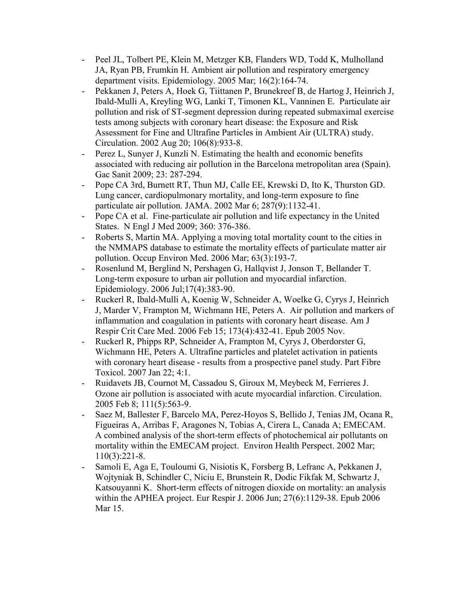- [Peel JL,](http://www.ncbi.nlm.nih.gov/pubmed?term=%22Peel%20JL%22%5BAuthor%5D) [Tolbert PE,](http://www.ncbi.nlm.nih.gov/pubmed?term=%22Tolbert%20PE%22%5BAuthor%5D) [Klein M](http://www.ncbi.nlm.nih.gov/pubmed?term=%22Klein%20M%22%5BAuthor%5D), [Metzger KB,](http://www.ncbi.nlm.nih.gov/pubmed?term=%22Metzger%20KB%22%5BAuthor%5D) [Flanders WD](http://www.ncbi.nlm.nih.gov/pubmed?term=%22Flanders%20WD%22%5BAuthor%5D), [Todd K,](http://www.ncbi.nlm.nih.gov/pubmed?term=%22Todd%20K%22%5BAuthor%5D) [Mulholland](http://www.ncbi.nlm.nih.gov/pubmed?term=%22Mulholland%20JA%22%5BAuthor%5D) [JA,](http://www.ncbi.nlm.nih.gov/pubmed?term=%22Mulholland%20JA%22%5BAuthor%5D) [Ryan PB,](http://www.ncbi.nlm.nih.gov/pubmed?term=%22Ryan%20PB%22%5BAuthor%5D) [Frumkin H](http://www.ncbi.nlm.nih.gov/pubmed?term=%22Frumkin%20H%22%5BAuthor%5D). Ambient air pollution and respiratory emergency department visits. [Epidemiology.](http://www.ncbi.nlm.nih.gov/pubmed/15703530##) 2005 Mar; 16(2):164-74.
- [Pekkanen J](http://www.ncbi.nlm.nih.gov/entrez/query.fcgi?db=pubmed&cmd=Search&itool=pubmed_AbstractPlus&term=%22Pekkanen+J%22%5BAuthor%5D), [Peters A,](http://www.ncbi.nlm.nih.gov/entrez/query.fcgi?db=pubmed&cmd=Search&itool=pubmed_AbstractPlus&term=%22Peters+A%22%5BAuthor%5D) [Hoek G,](http://www.ncbi.nlm.nih.gov/entrez/query.fcgi?db=pubmed&cmd=Search&itool=pubmed_AbstractPlus&term=%22Hoek+G%22%5BAuthor%5D) [Tiittanen P](http://www.ncbi.nlm.nih.gov/entrez/query.fcgi?db=pubmed&cmd=Search&itool=pubmed_AbstractPlus&term=%22Tiittanen+P%22%5BAuthor%5D), [Brunekreef B,](http://www.ncbi.nlm.nih.gov/entrez/query.fcgi?db=pubmed&cmd=Search&itool=pubmed_AbstractPlus&term=%22Brunekreef+B%22%5BAuthor%5D) [de Hartog J](http://www.ncbi.nlm.nih.gov/entrez/query.fcgi?db=pubmed&cmd=Search&itool=pubmed_AbstractPlus&term=%22de+Hartog+J%22%5BAuthor%5D), [Heinrich J](http://www.ncbi.nlm.nih.gov/entrez/query.fcgi?db=pubmed&cmd=Search&itool=pubmed_AbstractPlus&term=%22Heinrich+J%22%5BAuthor%5D), [Ibald-Mulli A,](http://www.ncbi.nlm.nih.gov/entrez/query.fcgi?db=pubmed&cmd=Search&itool=pubmed_AbstractPlus&term=%22Ibald%2DMulli+A%22%5BAuthor%5D) [Kreyling WG](http://www.ncbi.nlm.nih.gov/entrez/query.fcgi?db=pubmed&cmd=Search&itool=pubmed_AbstractPlus&term=%22Kreyling+WG%22%5BAuthor%5D), [Lanki T](http://www.ncbi.nlm.nih.gov/entrez/query.fcgi?db=pubmed&cmd=Search&itool=pubmed_AbstractPlus&term=%22Lanki+T%22%5BAuthor%5D), [Timonen KL,](http://www.ncbi.nlm.nih.gov/entrez/query.fcgi?db=pubmed&cmd=Search&itool=pubmed_AbstractPlus&term=%22Timonen+KL%22%5BAuthor%5D) [Vanninen E](http://www.ncbi.nlm.nih.gov/entrez/query.fcgi?db=pubmed&cmd=Search&itool=pubmed_AbstractPlus&term=%22Vanninen+E%22%5BAuthor%5D). Particulate air pollution and risk of ST-segment depression during repeated submaximal exercise tests among subjects with coronary heart disease: the Exposure and Risk Assessment for Fine and Ultrafine Particles in Ambient Air (ULTRA) study. Circulation. 2002 Aug 20; 106(8):933-8.
- Perez L, Sunyer J, Kunzli N. Estimating the health and economic benefits associated with reducing air pollution in the Barcelona metropolitan area (Spain). Gac Sanit 2009; 23: 287-294.
- [Pope CA 3rd,](http://www.ncbi.nlm.nih.gov/entrez/query.fcgi?db=pubmed&cmd=Search&itool=pubmed_AbstractPlus&term=%22Pope+CA+3rd%22%5BAuthor%5D) [Burnett RT](http://www.ncbi.nlm.nih.gov/entrez/query.fcgi?db=pubmed&cmd=Search&itool=pubmed_AbstractPlus&term=%22Burnett+RT%22%5BAuthor%5D), [Thun MJ](http://www.ncbi.nlm.nih.gov/entrez/query.fcgi?db=pubmed&cmd=Search&itool=pubmed_AbstractPlus&term=%22Thun+MJ%22%5BAuthor%5D), [Calle EE,](http://www.ncbi.nlm.nih.gov/entrez/query.fcgi?db=pubmed&cmd=Search&itool=pubmed_AbstractPlus&term=%22Calle+EE%22%5BAuthor%5D) [Krewski D,](http://www.ncbi.nlm.nih.gov/entrez/query.fcgi?db=pubmed&cmd=Search&itool=pubmed_AbstractPlus&term=%22Krewski+D%22%5BAuthor%5D) [Ito K,](http://www.ncbi.nlm.nih.gov/entrez/query.fcgi?db=pubmed&cmd=Search&itool=pubmed_AbstractPlus&term=%22Ito+K%22%5BAuthor%5D) [Thurston GD.](http://www.ncbi.nlm.nih.gov/entrez/query.fcgi?db=pubmed&cmd=Search&itool=pubmed_AbstractPlus&term=%22Thurston+GD%22%5BAuthor%5D) Lung cancer, cardiopulmonary mortality, and long-term exposure to fine particulate air pollution. JAMA. 2002 Mar 6; 287(9):1132-41.
- Pope CA et al. Fine-particulate air pollution and life expectancy in the United States. N Engl J Med 2009; 360: 376-386.
- [Roberts S](http://www.ncbi.nlm.nih.gov/entrez/query.fcgi?db=pubmed&cmd=Search&itool=pubmed_AbstractPlus&term=%22Roberts+S%22%5BAuthor%5D), [Martin MA](http://www.ncbi.nlm.nih.gov/entrez/query.fcgi?db=pubmed&cmd=Search&itool=pubmed_AbstractPlus&term=%22Martin+MA%22%5BAuthor%5D). Applying a moving total mortality count to the cities in the NMMAPS database to estimate the mortality effects of particulate matter air pollution. Occup Environ Med. 2006 Mar; 63(3):193-7.
- [Rosenlund M](http://www.ncbi.nlm.nih.gov/entrez/query.fcgi?db=pubmed&cmd=Search&itool=pubmed_AbstractPlus&term=%22Rosenlund+M%22%5BAuthor%5D), [Berglind N,](http://www.ncbi.nlm.nih.gov/entrez/query.fcgi?db=pubmed&cmd=Search&itool=pubmed_AbstractPlus&term=%22Berglind+N%22%5BAuthor%5D) [Pershagen G,](http://www.ncbi.nlm.nih.gov/entrez/query.fcgi?db=pubmed&cmd=Search&itool=pubmed_AbstractPlus&term=%22Pershagen+G%22%5BAuthor%5D) [Hallqvist J](http://www.ncbi.nlm.nih.gov/entrez/query.fcgi?db=pubmed&cmd=Search&itool=pubmed_AbstractPlus&term=%22Hallqvist+J%22%5BAuthor%5D), [Jonson T](http://www.ncbi.nlm.nih.gov/entrez/query.fcgi?db=pubmed&cmd=Search&itool=pubmed_AbstractPlus&term=%22Jonson+T%22%5BAuthor%5D), [Bellander T](http://www.ncbi.nlm.nih.gov/entrez/query.fcgi?db=pubmed&cmd=Search&itool=pubmed_AbstractPlus&term=%22Bellander+T%22%5BAuthor%5D). Long-term exposure to urban air pollution and myocardial infarction. Epidemiology. 2006 Jul;17(4):383-90.
- [Ruckerl R,](http://www.ncbi.nlm.nih.gov/entrez/query.fcgi?db=pubmed&cmd=Search&itool=pubmed_AbstractPlus&term=%22Ruckerl+R%22%5BAuthor%5D) [Ibald-Mulli A](http://www.ncbi.nlm.nih.gov/entrez/query.fcgi?db=pubmed&cmd=Search&itool=pubmed_AbstractPlus&term=%22Ibald%2DMulli+A%22%5BAuthor%5D), [Koenig W,](http://www.ncbi.nlm.nih.gov/entrez/query.fcgi?db=pubmed&cmd=Search&itool=pubmed_AbstractPlus&term=%22Koenig+W%22%5BAuthor%5D) [Schneider A,](http://www.ncbi.nlm.nih.gov/entrez/query.fcgi?db=pubmed&cmd=Search&itool=pubmed_AbstractPlus&term=%22Schneider+A%22%5BAuthor%5D) [Woelke G](http://www.ncbi.nlm.nih.gov/entrez/query.fcgi?db=pubmed&cmd=Search&itool=pubmed_AbstractPlus&term=%22Woelke+G%22%5BAuthor%5D), [Cyrys J](http://www.ncbi.nlm.nih.gov/entrez/query.fcgi?db=pubmed&cmd=Search&itool=pubmed_AbstractPlus&term=%22Cyrys+J%22%5BAuthor%5D), [Heinrich](http://www.ncbi.nlm.nih.gov/entrez/query.fcgi?db=pubmed&cmd=Search&itool=pubmed_AbstractPlus&term=%22Heinrich+J%22%5BAuthor%5D) [J,](http://www.ncbi.nlm.nih.gov/entrez/query.fcgi?db=pubmed&cmd=Search&itool=pubmed_AbstractPlus&term=%22Heinrich+J%22%5BAuthor%5D) [Marder V,](http://www.ncbi.nlm.nih.gov/entrez/query.fcgi?db=pubmed&cmd=Search&itool=pubmed_AbstractPlus&term=%22Marder+V%22%5BAuthor%5D) [Frampton M,](http://www.ncbi.nlm.nih.gov/entrez/query.fcgi?db=pubmed&cmd=Search&itool=pubmed_AbstractPlus&term=%22Frampton+M%22%5BAuthor%5D) [Wichmann HE,](http://www.ncbi.nlm.nih.gov/entrez/query.fcgi?db=pubmed&cmd=Search&itool=pubmed_AbstractPlus&term=%22Wichmann+HE%22%5BAuthor%5D) [Peters A.](http://www.ncbi.nlm.nih.gov/entrez/query.fcgi?db=pubmed&cmd=Search&itool=pubmed_AbstractPlus&term=%22Peters+A%22%5BAuthor%5D) Air pollution and markers of inflammation and coagulation in patients with coronary heart disease. Am J Respir Crit Care Med. 2006 Feb 15; 173(4):432-41. Epub 2005 Nov.
- [Ruckerl R,](http://www.ncbi.nlm.nih.gov/entrez/query.fcgi?db=pubmed&cmd=Search&itool=pubmed_AbstractPlus&term=%22Ruckerl+R%22%5BAuthor%5D) [Phipps RP,](http://www.ncbi.nlm.nih.gov/entrez/query.fcgi?db=pubmed&cmd=Search&itool=pubmed_AbstractPlus&term=%22Phipps+RP%22%5BAuthor%5D) [Schneider A,](http://www.ncbi.nlm.nih.gov/entrez/query.fcgi?db=pubmed&cmd=Search&itool=pubmed_AbstractPlus&term=%22Schneider+A%22%5BAuthor%5D) [Frampton M](http://www.ncbi.nlm.nih.gov/entrez/query.fcgi?db=pubmed&cmd=Search&itool=pubmed_AbstractPlus&term=%22Frampton+M%22%5BAuthor%5D), [Cyrys J,](http://www.ncbi.nlm.nih.gov/entrez/query.fcgi?db=pubmed&cmd=Search&itool=pubmed_AbstractPlus&term=%22Cyrys+J%22%5BAuthor%5D) [Oberdorster G,](http://www.ncbi.nlm.nih.gov/entrez/query.fcgi?db=pubmed&cmd=Search&itool=pubmed_AbstractPlus&term=%22Oberdorster+G%22%5BAuthor%5D) [Wichmann HE,](http://www.ncbi.nlm.nih.gov/entrez/query.fcgi?db=pubmed&cmd=Search&itool=pubmed_AbstractPlus&term=%22Wichmann+HE%22%5BAuthor%5D) [Peters A.](http://www.ncbi.nlm.nih.gov/entrez/query.fcgi?db=pubmed&cmd=Search&itool=pubmed_AbstractPlus&term=%22Peters+A%22%5BAuthor%5D) Ultrafine particles and platelet activation in patients with coronary heart disease - results from a prospective panel study. Part Fibre Toxicol. 2007 Jan 22; 4:1.
- [Ruidavets JB,](http://www.ncbi.nlm.nih.gov/entrez/query.fcgi?db=pubmed&cmd=Search&itool=pubmed_AbstractPlus&term=%22Ruidavets+JB%22%5BAuthor%5D) [Cournot M](http://www.ncbi.nlm.nih.gov/entrez/query.fcgi?db=pubmed&cmd=Search&itool=pubmed_AbstractPlus&term=%22Cournot+M%22%5BAuthor%5D), [Cassadou S](http://www.ncbi.nlm.nih.gov/entrez/query.fcgi?db=pubmed&cmd=Search&itool=pubmed_AbstractPlus&term=%22Cassadou+S%22%5BAuthor%5D), [Giroux M](http://www.ncbi.nlm.nih.gov/entrez/query.fcgi?db=pubmed&cmd=Search&itool=pubmed_AbstractPlus&term=%22Giroux+M%22%5BAuthor%5D), [Meybeck M](http://www.ncbi.nlm.nih.gov/entrez/query.fcgi?db=pubmed&cmd=Search&itool=pubmed_AbstractPlus&term=%22Meybeck+M%22%5BAuthor%5D), [Ferrieres J](http://www.ncbi.nlm.nih.gov/entrez/query.fcgi?db=pubmed&cmd=Search&itool=pubmed_AbstractPlus&term=%22Ferrieres+J%22%5BAuthor%5D). Ozone air pollution is associated with acute myocardial infarction. Circulation. 2005 Feb 8; 111(5):563-9.
- [Saez M](http://www.ncbi.nlm.nih.gov/entrez/query.fcgi?db=pubmed&cmd=Search&itool=pubmed_AbstractPlus&term=%22Saez+M%22%5BAuthor%5D), [Ballester F](http://www.ncbi.nlm.nih.gov/entrez/query.fcgi?db=pubmed&cmd=Search&itool=pubmed_AbstractPlus&term=%22Ballester+F%22%5BAuthor%5D), [Barcelo MA](http://www.ncbi.nlm.nih.gov/entrez/query.fcgi?db=pubmed&cmd=Search&itool=pubmed_AbstractPlus&term=%22Barcelo+MA%22%5BAuthor%5D), [Perez-Hoyos S,](http://www.ncbi.nlm.nih.gov/entrez/query.fcgi?db=pubmed&cmd=Search&itool=pubmed_AbstractPlus&term=%22Perez%2DHoyos+S%22%5BAuthor%5D) [Bellido J](http://www.ncbi.nlm.nih.gov/entrez/query.fcgi?db=pubmed&cmd=Search&itool=pubmed_AbstractPlus&term=%22Bellido+J%22%5BAuthor%5D), [Tenias JM](http://www.ncbi.nlm.nih.gov/entrez/query.fcgi?db=pubmed&cmd=Search&itool=pubmed_AbstractPlus&term=%22Tenias+JM%22%5BAuthor%5D), [Ocana R,](http://www.ncbi.nlm.nih.gov/entrez/query.fcgi?db=pubmed&cmd=Search&itool=pubmed_AbstractPlus&term=%22Ocana+R%22%5BAuthor%5D) [Figueiras A,](http://www.ncbi.nlm.nih.gov/entrez/query.fcgi?db=pubmed&cmd=Search&itool=pubmed_AbstractPlus&term=%22Figueiras+A%22%5BAuthor%5D) [Arribas F,](http://www.ncbi.nlm.nih.gov/entrez/query.fcgi?db=pubmed&cmd=Search&itool=pubmed_AbstractPlus&term=%22Arribas+F%22%5BAuthor%5D) [Aragones N,](http://www.ncbi.nlm.nih.gov/entrez/query.fcgi?db=pubmed&cmd=Search&itool=pubmed_AbstractPlus&term=%22Aragones+N%22%5BAuthor%5D) [Tobias A,](http://www.ncbi.nlm.nih.gov/entrez/query.fcgi?db=pubmed&cmd=Search&itool=pubmed_AbstractPlus&term=%22Tobias+A%22%5BAuthor%5D) [Cirera L](http://www.ncbi.nlm.nih.gov/entrez/query.fcgi?db=pubmed&cmd=Search&itool=pubmed_AbstractPlus&term=%22Cirera+L%22%5BAuthor%5D), [Canada A;](http://www.ncbi.nlm.nih.gov/entrez/query.fcgi?db=pubmed&cmd=Search&itool=pubmed_AbstractPlus&term=%22Canada+A%22%5BAuthor%5D) [EMECAM.](http://www.ncbi.nlm.nih.gov/entrez/query.fcgi?db=pubmed&cmd=Search&itool=pubmed_AbstractPlus&term=%22EMECAM%22%5BCorporate+Author%5D) A combined analysis of the short-term effects of photochemical air pollutants on mortality within the EMECAM project. Environ Health Perspect. 2002 Mar; 110(3):221-8.
- [Samoli E](http://www.ncbi.nlm.nih.gov/entrez/query.fcgi?db=pubmed&cmd=Search&itool=pubmed_AbstractPlus&term=%22Samoli+E%22%5BAuthor%5D), [Aga E,](http://www.ncbi.nlm.nih.gov/entrez/query.fcgi?db=pubmed&cmd=Search&itool=pubmed_AbstractPlus&term=%22Aga+E%22%5BAuthor%5D) [Touloumi G,](http://www.ncbi.nlm.nih.gov/entrez/query.fcgi?db=pubmed&cmd=Search&itool=pubmed_AbstractPlus&term=%22Touloumi+G%22%5BAuthor%5D) [Nisiotis K,](http://www.ncbi.nlm.nih.gov/entrez/query.fcgi?db=pubmed&cmd=Search&itool=pubmed_AbstractPlus&term=%22Nisiotis+K%22%5BAuthor%5D) [Forsberg B,](http://www.ncbi.nlm.nih.gov/entrez/query.fcgi?db=pubmed&cmd=Search&itool=pubmed_AbstractPlus&term=%22Forsberg+B%22%5BAuthor%5D) [Lefranc A,](http://www.ncbi.nlm.nih.gov/entrez/query.fcgi?db=pubmed&cmd=Search&itool=pubmed_AbstractPlus&term=%22Lefranc+A%22%5BAuthor%5D) [Pekkanen J,](http://www.ncbi.nlm.nih.gov/entrez/query.fcgi?db=pubmed&cmd=Search&itool=pubmed_AbstractPlus&term=%22Pekkanen+J%22%5BAuthor%5D) [Wojtyniak B,](http://www.ncbi.nlm.nih.gov/entrez/query.fcgi?db=pubmed&cmd=Search&itool=pubmed_AbstractPlus&term=%22Wojtyniak+B%22%5BAuthor%5D) [Schindler C,](http://www.ncbi.nlm.nih.gov/entrez/query.fcgi?db=pubmed&cmd=Search&itool=pubmed_AbstractPlus&term=%22Schindler+C%22%5BAuthor%5D) [Niciu E,](http://www.ncbi.nlm.nih.gov/entrez/query.fcgi?db=pubmed&cmd=Search&itool=pubmed_AbstractPlus&term=%22Niciu+E%22%5BAuthor%5D) [Brunstein R,](http://www.ncbi.nlm.nih.gov/entrez/query.fcgi?db=pubmed&cmd=Search&itool=pubmed_AbstractPlus&term=%22Brunstein+R%22%5BAuthor%5D) [Dodic Fikfak M](http://www.ncbi.nlm.nih.gov/entrez/query.fcgi?db=pubmed&cmd=Search&itool=pubmed_AbstractPlus&term=%22Dodic+Fikfak+M%22%5BAuthor%5D), [Schwartz J](http://www.ncbi.nlm.nih.gov/entrez/query.fcgi?db=pubmed&cmd=Search&itool=pubmed_AbstractPlus&term=%22Schwartz+J%22%5BAuthor%5D), [Katsouyanni K](http://www.ncbi.nlm.nih.gov/entrez/query.fcgi?db=pubmed&cmd=Search&itool=pubmed_AbstractPlus&term=%22Katsouyanni+K%22%5BAuthor%5D). Short-term effects of nitrogen dioxide on mortality: an analysis within the APHEA project. Eur Respir J. 2006 Jun; 27(6):1129-38. Epub 2006 Mar 15.